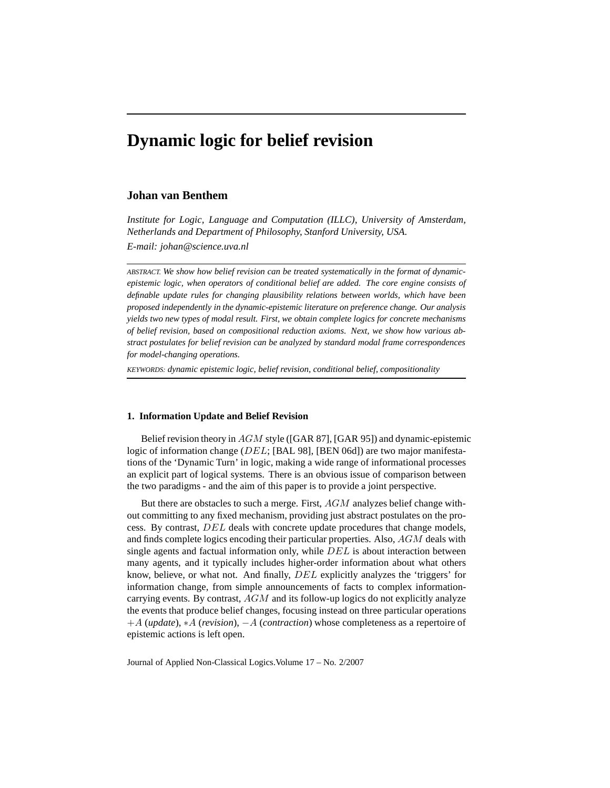# **Dynamic logic for belief revision**

# **Johan van Benthem**

*Institute for Logic, Language and Computation (ILLC), University of Amsterdam, Netherlands and Department of Philosophy, Stanford University, USA. E-mail: johan@science.uva.nl*

*ABSTRACT. We show how belief revision can be treated systematically in the format of dynamicepistemic logic, when operators of conditional belief are added. The core engine consists of definable update rules for changing plausibility relations between worlds, which have been proposed independently in the dynamic-epistemic literature on preference change. Our analysis yields two new types of modal result. First, we obtain complete logics for concrete mechanisms of belief revision, based on compositional reduction axioms. Next, we show how various abstract postulates for belief revision can be analyzed by standard modal frame correspondences for model-changing operations.*

*KEYWORDS: dynamic epistemic logic, belief revision, conditional belief, compositionality*

# **1. Information Update and Belief Revision**

Belief revision theory in AGM style ([GAR 87], [GAR 95]) and dynamic-epistemic logic of information change (DEL; [BAL 98], [BEN 06d]) are two major manifestations of the 'Dynamic Turn' in logic, making a wide range of informational processes an explicit part of logical systems. There is an obvious issue of comparison between the two paradigms - and the aim of this paper is to provide a joint perspective.

But there are obstacles to such a merge. First, AGM analyzes belief change without committing to any fixed mechanism, providing just abstract postulates on the process. By contrast, DEL deals with concrete update procedures that change models, and finds complete logics encoding their particular properties. Also, AGM deals with single agents and factual information only, while  $DEL$  is about interaction between many agents, and it typically includes higher-order information about what others know, believe, or what not. And finally, DEL explicitly analyzes the 'triggers' for information change, from simple announcements of facts to complex informationcarrying events. By contrast,  $AGM$  and its follow-up logics do not explicitly analyze the events that produce belief changes, focusing instead on three particular operations +A (*update*), ∗A (*revision*), −A (*contraction*) whose completeness as a repertoire of epistemic actions is left open.

Journal of Applied Non-Classical Logics.Volume 17 – No. 2/2007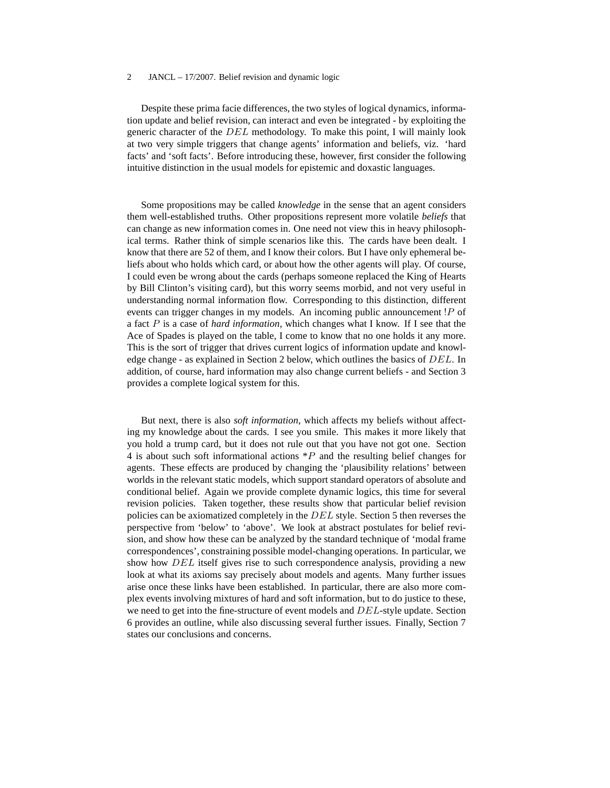Despite these prima facie differences, the two styles of logical dynamics, information update and belief revision, can interact and even be integrated - by exploiting the generic character of the  $DEL$  methodology. To make this point, I will mainly look at two very simple triggers that change agents' information and beliefs, viz. 'hard facts' and 'soft facts'. Before introducing these, however, first consider the following intuitive distinction in the usual models for epistemic and doxastic languages.

Some propositions may be called *knowledge* in the sense that an agent considers them well-established truths. Other propositions represent more volatile *beliefs* that can change as new information comes in. One need not view this in heavy philosophical terms. Rather think of simple scenarios like this. The cards have been dealt. I know that there are 52 of them, and I know their colors. But I have only ephemeral beliefs about who holds which card, or about how the other agents will play. Of course, I could even be wrong about the cards (perhaps someone replaced the King of Hearts by Bill Clinton's visiting card), but this worry seems morbid, and not very useful in understanding normal information flow. Corresponding to this distinction, different events can trigger changes in my models. An incoming public announcement !P of a fact P is a case of *hard information*, which changes what I know. If I see that the Ace of Spades is played on the table, I come to know that no one holds it any more. This is the sort of trigger that drives current logics of information update and knowledge change - as explained in Section 2 below, which outlines the basics of DEL. In addition, of course, hard information may also change current beliefs - and Section 3 provides a complete logical system for this.

But next, there is also *soft information*, which affects my beliefs without affecting my knowledge about the cards. I see you smile. This makes it more likely that you hold a trump card, but it does not rule out that you have not got one. Section 4 is about such soft informational actions \*P and the resulting belief changes for agents. These effects are produced by changing the 'plausibility relations' between worlds in the relevant static models, which support standard operators of absolute and conditional belief. Again we provide complete dynamic logics, this time for several revision policies. Taken together, these results show that particular belief revision policies can be axiomatized completely in the DEL style. Section 5 then reverses the perspective from 'below' to 'above'. We look at abstract postulates for belief revision, and show how these can be analyzed by the standard technique of 'modal frame correspondences', constraining possible model-changing operations. In particular, we show how DEL itself gives rise to such correspondence analysis, providing a new look at what its axioms say precisely about models and agents. Many further issues arise once these links have been established. In particular, there are also more complex events involving mixtures of hard and soft information, but to do justice to these, we need to get into the fine-structure of event models and DEL-style update. Section 6 provides an outline, while also discussing several further issues. Finally, Section 7 states our conclusions and concerns.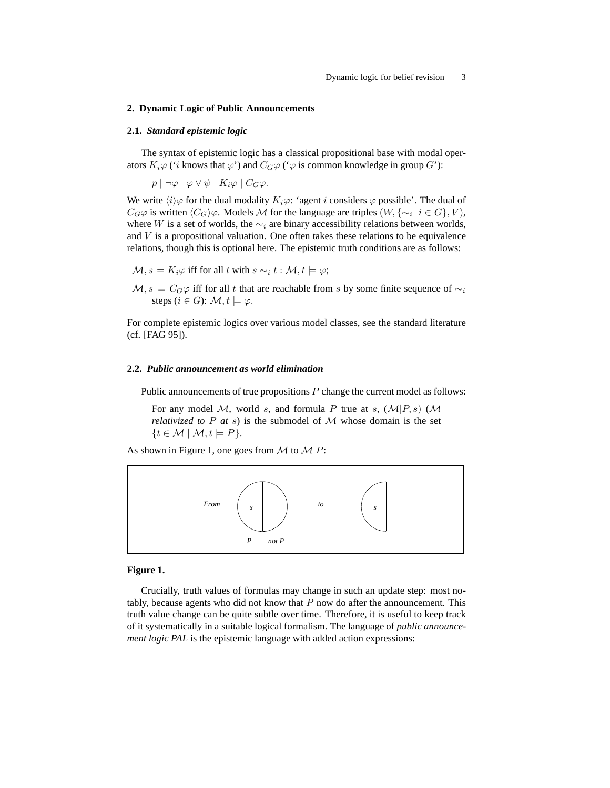## **2. Dynamic Logic of Public Announcements**

#### **2.1.** *Standard epistemic logic*

The syntax of epistemic logic has a classical propositional base with modal operators  $K_i\varphi$  ('i knows that  $\varphi$ ') and  $C_G\varphi$  (' $\varphi$  is common knowledge in group G'):

 $p \mid \neg \varphi \mid \varphi \vee \psi \mid K_i \varphi \mid C_G \varphi.$ 

We write  $\langle i \rangle \varphi$  for the dual modality  $K_i\varphi$ : 'agent i considers  $\varphi$  possible'. The dual of  $C_G\varphi$  is written  $\langle C_G \rangle \varphi$ . Models M for the language are triples  $(W, {\{\sim_i \mid i \in G\}} , V)$ , where W is a set of worlds, the  $\sim_i$  are binary accessibility relations between worlds, and  $V$  is a propositional valuation. One often takes these relations to be equivalence relations, though this is optional here. The epistemic truth conditions are as follows:

$$
\mathcal{M}, s \models K_i \varphi \text{ iff for all } t \text{ with } s \sim_i t : \mathcal{M}, t \models \varphi;
$$

 $\mathcal{M}, s \models C_G\varphi$  iff for all t that are reachable from s by some finite sequence of  $\sim_i$ steps ( $i \in G$ ):  $\mathcal{M}, t \models \varphi$ .

For complete epistemic logics over various model classes, see the standard literature (cf. [FAG 95]).

#### **2.2.** *Public announcement as world elimination*

Public announcements of true propositions P change the current model as follows:

For any model M, world s, and formula P true at s,  $(M|P, s)$  (M *relativized to*  $P$  *at*  $s$ ) is the submodel of  $M$  whose domain is the set  $\{t \in \mathcal{M} \mid \mathcal{M}, t \models P\}.$ 

As shown in Figure 1, one goes from  $\mathcal M$  to  $\mathcal M|P$ :



#### **Figure 1.**

Crucially, truth values of formulas may change in such an update step: most notably, because agents who did not know that  $P$  now do after the announcement. This truth value change can be quite subtle over time. Therefore, it is useful to keep track of it systematically in a suitable logical formalism. The language of *public announcement logic PAL* is the epistemic language with added action expressions: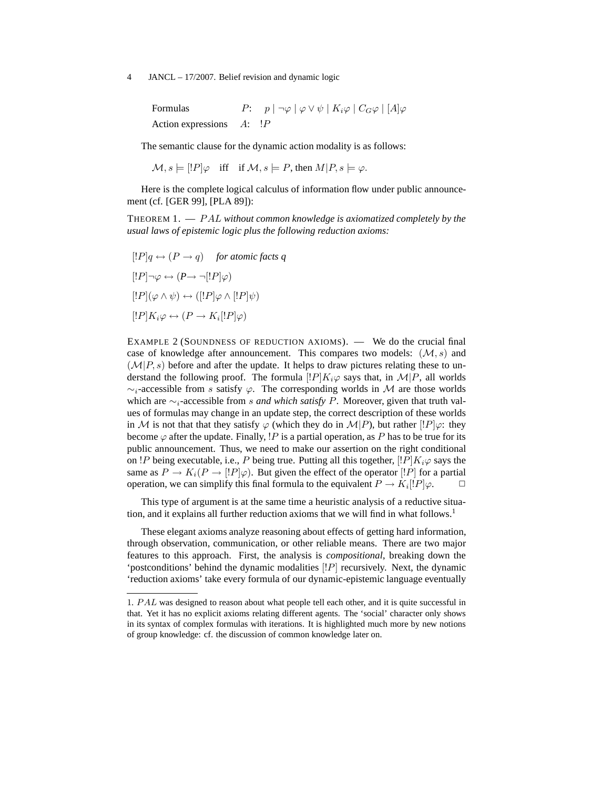Formulas  $P: p \mid \neg \varphi \mid \varphi \vee \psi \mid K_i \varphi \mid C_G \varphi \mid [A] \varphi$ Action expressions A: !P

The semantic clause for the dynamic action modality is as follows:

 $\mathcal{M}, s \models [!P] \varphi$  iff if  $\mathcal{M}, s \models P$ , then  $M | P, s \models \varphi$ .

Here is the complete logical calculus of information flow under public announcement (cf. [GER 99], [PLA 89]):

THEOREM 1. — PAL *without common knowledge is axiomatized completely by the usual laws of epistemic logic plus the following reduction axioms:*

$$
[!P]q \leftrightarrow (P \rightarrow q) \quad \text{for atomic facts } q
$$
  

$$
[!P] \neg \varphi \leftrightarrow (P \rightarrow \neg [!P] \varphi)
$$
  

$$
[!P] (\varphi \land \psi) \leftrightarrow ([!P] \varphi \land [!P] \psi)
$$
  

$$
[!P] K_i \varphi \leftrightarrow (P \rightarrow K_i [!P] \varphi)
$$

EXAMPLE 2 (SOUNDNESS OF REDUCTION AXIOMS). — We do the crucial final case of knowledge after announcement. This compares two models:  $(\mathcal{M}, s)$  and  $(\mathcal{M}|P, s)$  before and after the update. It helps to draw pictures relating these to understand the following proof. The formula  $[!P]K_i\varphi$  says that, in  $\mathcal{M}|P$ , all worlds  $\sim_i$ -accessible from s satisfy  $\varphi$ . The corresponding worlds in M are those worlds which are ∼i-accessible from s *and which satisfy* P. Moreover, given that truth values of formulas may change in an update step, the correct description of these worlds in M is not that that they satisfy  $\varphi$  (which they do in  $\mathcal{M}|P$ ), but rather  $[!P]\varphi$ : they become  $\varphi$  after the update. Finally, !P is a partial operation, as P has to be true for its public announcement. Thus, we need to make our assertion on the right conditional on !P being executable, i.e., P being true. Putting all this together,  $[!P]K_i\varphi$  says the same as  $P \to K_i(P \to |P|\varphi)$ . But given the effect of the operator [ $|P|$  for a partial operation, we can simplify this final formula to the equivalent  $P \to K_i [!P] \varphi$ .  $\Box$ 

This type of argument is at the same time a heuristic analysis of a reductive situation, and it explains all further reduction axioms that we will find in what follows.<sup>1</sup>

These elegant axioms analyze reasoning about effects of getting hard information, through observation, communication, or other reliable means. There are two major features to this approach. First, the analysis is *compositional*, breaking down the 'postconditions' behind the dynamic modalities  $[1P]$  recursively. Next, the dynamic 'reduction axioms' take every formula of our dynamic-epistemic language eventually

<sup>1</sup>. PAL was designed to reason about what people tell each other, and it is quite successful in that. Yet it has no explicit axioms relating different agents. The 'social' character only shows in its syntax of complex formulas with iterations. It is highlighted much more by new notions of group knowledge: cf. the discussion of common knowledge later on.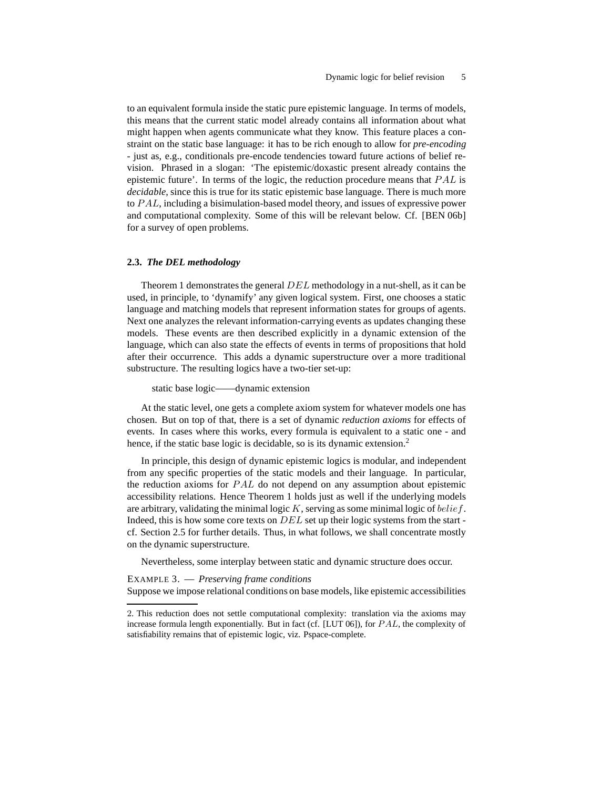to an equivalent formula inside the static pure epistemic language. In terms of models, this means that the current static model already contains all information about what might happen when agents communicate what they know. This feature places a constraint on the static base language: it has to be rich enough to allow for *pre-encoding* - just as, e.g., conditionals pre-encode tendencies toward future actions of belief revision. Phrased in a slogan: 'The epistemic/doxastic present already contains the epistemic future'. In terms of the logic, the reduction procedure means that PAL is *decidable*, since this is true for its static epistemic base language. There is much more to PAL, including a bisimulation-based model theory, and issues of expressive power and computational complexity. Some of this will be relevant below. Cf. [BEN 06b] for a survey of open problems.

## **2.3.** *The DEL methodology*

Theorem 1 demonstrates the general DEL methodology in a nut-shell, as it can be used, in principle, to 'dynamify' any given logical system. First, one chooses a static language and matching models that represent information states for groups of agents. Next one analyzes the relevant information-carrying events as updates changing these models. These events are then described explicitly in a dynamic extension of the language, which can also state the effects of events in terms of propositions that hold after their occurrence. This adds a dynamic superstructure over a more traditional substructure. The resulting logics have a two-tier set-up:

static base logic——dynamic extension

At the static level, one gets a complete axiom system for whatever models one has chosen. But on top of that, there is a set of dynamic *reduction axioms* for effects of events. In cases where this works, every formula is equivalent to a static one - and hence, if the static base logic is decidable, so is its dynamic extension.<sup>2</sup>

In principle, this design of dynamic epistemic logics is modular, and independent from any specific properties of the static models and their language. In particular, the reduction axioms for  $PAL$  do not depend on any assumption about epistemic accessibility relations. Hence Theorem 1 holds just as well if the underlying models are arbitrary, validating the minimal logic  $K$ , serving as some minimal logic of belief. Indeed, this is how some core texts on DEL set up their logic systems from the start cf. Section 2.5 for further details. Thus, in what follows, we shall concentrate mostly on the dynamic superstructure.

Nevertheless, some interplay between static and dynamic structure does occur.

## EXAMPLE 3. — *Preserving frame conditions*

Suppose we impose relational conditions on base models, like epistemic accessibilities

<sup>2</sup>. This reduction does not settle computational complexity: translation via the axioms may increase formula length exponentially. But in fact (cf. [LUT 06]), for PAL, the complexity of satisfiability remains that of epistemic logic, viz. Pspace-complete.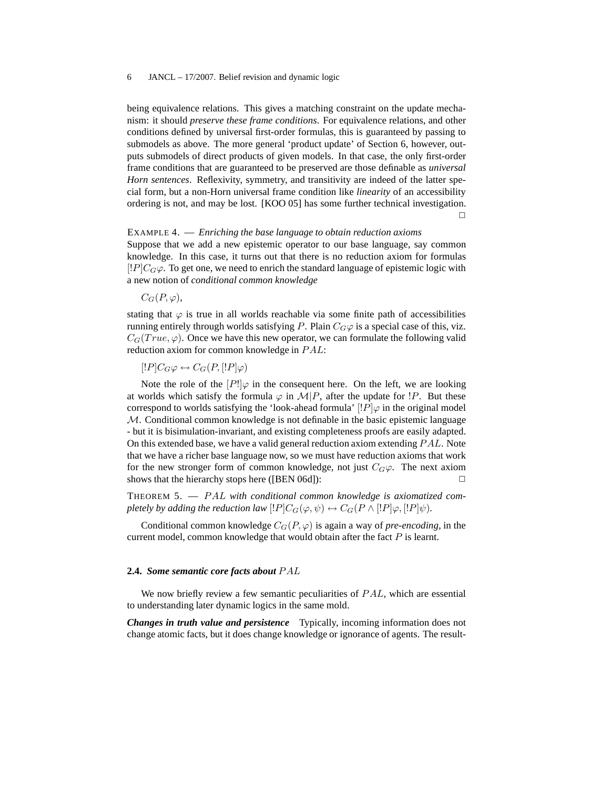being equivalence relations. This gives a matching constraint on the update mechanism: it should *preserve these frame conditions*. For equivalence relations, and other conditions defined by universal first-order formulas, this is guaranteed by passing to submodels as above. The more general 'product update' of Section 6, however, outputs submodels of direct products of given models. In that case, the only first-order frame conditions that are guaranteed to be preserved are those definable as *universal Horn sentences.* Reflexivity, symmetry, and transitivity are indeed of the latter special form, but a non-Horn universal frame condition like *linearity* of an accessibility ordering is not, and may be lost. [KOO 05] has some further technical investigation.  $\Box$ 

# EXAMPLE 4. — *Enriching the base language to obtain reduction axioms*

Suppose that we add a new epistemic operator to our base language, say common knowledge. In this case, it turns out that there is no reduction axiom for formulas [ $P|C_G\varphi$ . To get one, we need to enrich the standard language of epistemic logic with a new notion of *conditional common knowledge*

 $C_G(P,\varphi),$ 

stating that  $\varphi$  is true in all worlds reachable via some finite path of accessibilities running entirely through worlds satisfying P. Plain  $C_G\varphi$  is a special case of this, viz.  $C_G(True, \varphi)$ . Once we have this new operator, we can formulate the following valid reduction axiom for common knowledge in PAL:

 $[!P]C_G\varphi \leftrightarrow C_G(P,[!P]\varphi)$ 

Note the role of the  $[P!] \varphi$  in the consequent here. On the left, we are looking at worlds which satisfy the formula  $\varphi$  in  $\mathcal{M}|P$ , after the update for !P. But these correspond to worlds satisfying the 'look-ahead formula'  $[!P]\varphi$  in the original model  $M$ . Conditional common knowledge is not definable in the basic epistemic language - but it is bisimulation-invariant, and existing completeness proofs are easily adapted. On this extended base, we have a valid general reduction axiom extending PAL. Note that we have a richer base language now, so we must have reduction axioms that work for the new stronger form of common knowledge, not just  $C_G\varphi$ . The next axiom shows that the hierarchy stops here ([BEN 06d]):  $\square$ 

THEOREM 5. — PAL *with conditional common knowledge is axiomatized completely by adding the reduction law*  $[!P]C_G(\varphi, \psi) \leftrightarrow C_G(P \wedge [!P] \varphi, [!P] \psi)$ *.* 

Conditional common knowledge  $C_G(P, \varphi)$  is again a way of *pre-encoding*, in the current model, common knowledge that would obtain after the fact P is learnt.

#### **2.4.** *Some semantic core facts about* PAL

We now briefly review a few semantic peculiarities of PAL, which are essential to understanding later dynamic logics in the same mold.

*Changes in truth value and persistence* Typically, incoming information does not change atomic facts, but it does change knowledge or ignorance of agents. The result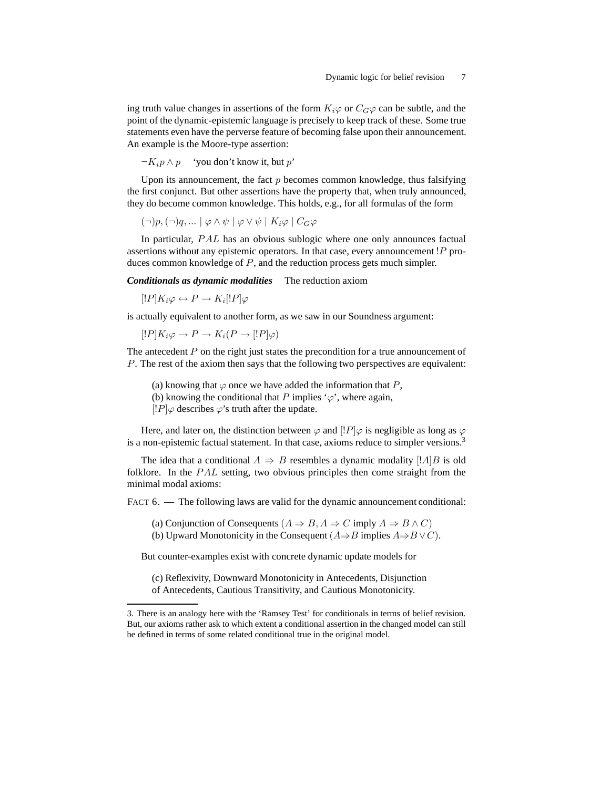ing truth value changes in assertions of the form  $K_i\varphi$  or  $C_G\varphi$  can be subtle, and the point of the dynamic-epistemic language is precisely to keep track of these. Some true statements even have the perverse feature of becoming false upon their announcement. An example is the Moore-type assertion:

 $\neg K_i p \wedge p$  'you don't know it, but p'

Upon its announcement, the fact  $p$  becomes common knowledge, thus falsifying the first conjunct. But other assertions have the property that, when truly announced, they do become common knowledge. This holds, e.g., for all formulas of the form

 $(\neg)p,(\neg)q,... \mid \varphi \wedge \psi \mid \varphi \vee \psi \mid K_i\varphi \mid C_G\varphi$ 

In particular, PAL has an obvious sublogic where one only announces factual assertions without any epistemic operators. In that case, every announcement !P produces common knowledge of P, and the reduction process gets much simpler.

*Conditionals as dynamic modalities* The reduction axiom

 $[!P]K_i\varphi \leftrightarrow P \to K_i[!P]\varphi$ 

is actually equivalent to another form, as we saw in our Soundness argument:

 $[!P]K_i\varphi \to P \to K_i(P \to [!P]\varphi)$ 

The antecedent  $P$  on the right just states the precondition for a true announcement of P. The rest of the axiom then says that the following two perspectives are equivalent:

(a) knowing that  $\varphi$  once we have added the information that P,

(b) knowing the conditional that P implies  $\varphi$ , where again,

[ $|P|\varphi$  describes  $\varphi$ 's truth after the update.

Here, and later on, the distinction between  $\varphi$  and  $[!P]\varphi$  is negligible as long as  $\varphi$ is a non-epistemic factual statement. In that case, axioms reduce to simpler versions.<sup>3</sup>

The idea that a conditional  $A \Rightarrow B$  resembles a dynamic modality [ $|A|B$  is old folklore. In the PAL setting, two obvious principles then come straight from the minimal modal axioms:

FACT 6. — The following laws are valid for the dynamic announcement conditional:

(a) Conjunction of Consequents ( $A \Rightarrow B, A \Rightarrow C$  imply  $A \Rightarrow B \wedge C$ )

(b) Upward Monotonicity in the Consequent ( $A\Rightarrow B$  implies  $A\Rightarrow B\vee C$ ).

But counter-examples exist with concrete dynamic update models for

(c) Reflexivity, Downward Monotonicity in Antecedents, Disjunction

of Antecedents, Cautious Transitivity, and Cautious Monotonicity.

<sup>3</sup>. There is an analogy here with the 'Ramsey Test' for conditionals in terms of belief revision. But, our axioms rather ask to which extent a conditional assertion in the changed model can still be defined in terms of some related conditional true in the original model.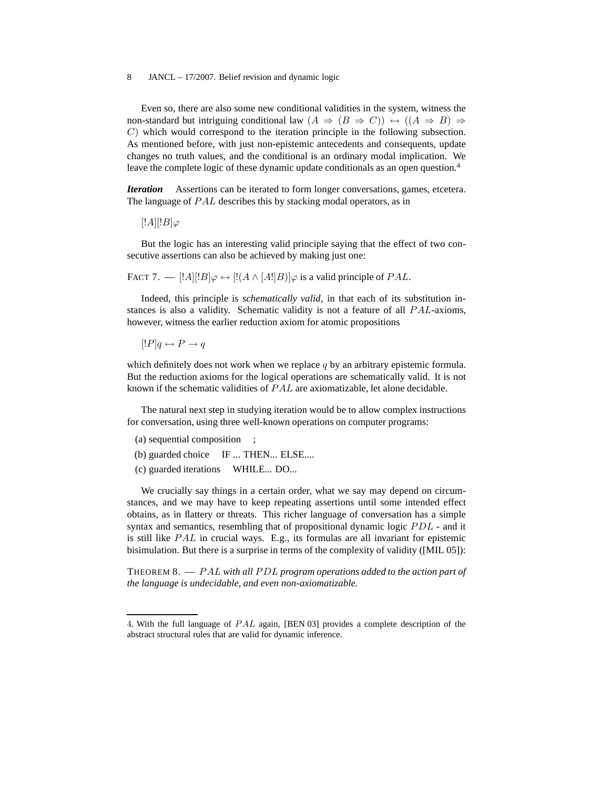Even so, there are also some new conditional validities in the system, witness the non-standard but intriguing conditional law  $(A \Rightarrow (B \Rightarrow C)) \leftrightarrow ((A \Rightarrow B) \Rightarrow$  $C$ ) which would correspond to the iteration principle in the following subsection. As mentioned before, with just non-epistemic antecedents and consequents, update changes no truth values, and the conditional is an ordinary modal implication. We leave the complete logic of these dynamic update conditionals as an open question.<sup>4</sup>

*Iteration* Assertions can be iterated to form longer conversations, games, etcetera. The language of PAL describes this by stacking modal operators, as in

 $[!A][!B]\varphi$ 

But the logic has an interesting valid principle saying that the effect of two consecutive assertions can also be achieved by making just one:

FACT 7. —  $[|A|][B]\varphi \leftrightarrow [!(A \wedge [A!]B)]\varphi$  is a valid principle of PAL.

Indeed, this principle is *schematically valid*, in that each of its substitution instances is also a validity. Schematic validity is not a feature of all PAL-axioms, however, witness the earlier reduction axiom for atomic propositions

 $[!P]q \leftrightarrow P \to q$ 

which definitely does not work when we replace  $q$  by an arbitrary epistemic formula. But the reduction axioms for the logical operations are schematically valid. It is not known if the schematic validities of PAL are axiomatizable, let alone decidable.

The natural next step in studying iteration would be to allow complex instructions for conversation, using three well-known operations on computer programs:

(a) sequential composition ;

(b) guarded choice IF ... THEN... ELSE....

(c) guarded iterations WHILE... DO...

We crucially say things in a certain order, what we say may depend on circumstances, and we may have to keep repeating assertions until some intended effect obtains, as in flattery or threats. This richer language of conversation has a simple syntax and semantics, resembling that of propositional dynamic logic PDL - and it is still like  $PAL$  in crucial ways. E.g., its formulas are all invariant for epistemic bisimulation. But there is a surprise in terms of the complexity of validity ([MIL 05]):

THEOREM 8. — PAL *with all* PDL *program operations added to the action part of the language is undecidable, and even non-axiomatizable.*

<sup>4</sup>. With the full language of PAL again, [BEN 03] provides a complete description of the abstract structural rules that are valid for dynamic inference.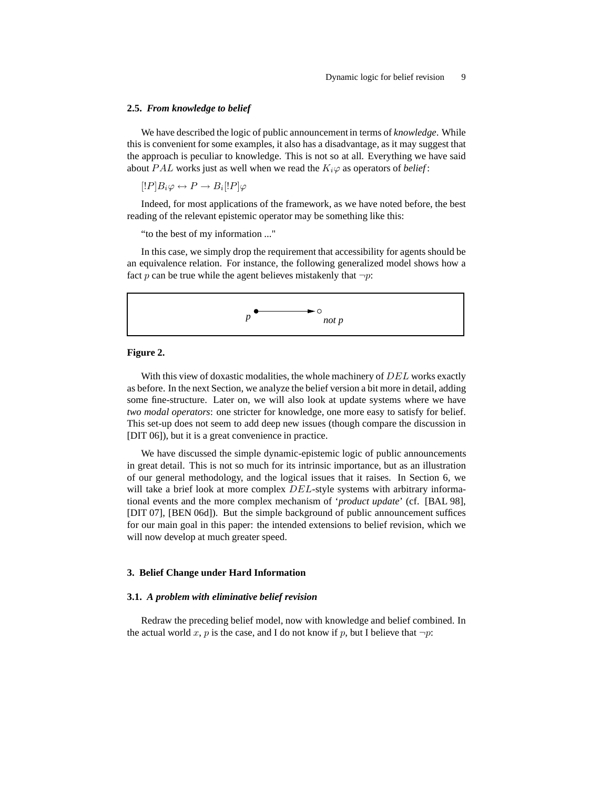## **2.5.** *From knowledge to belief*

We have described the logic of public announcement in terms of *knowledge*. While this is convenient for some examples, it also has a disadvantage, as it may suggest that the approach is peculiar to knowledge. This is not so at all. Everything we have said about PAL works just as well when we read the  $K_i\varphi$  as operators of *belief*:

 $[!P]B_i\varphi \leftrightarrow P \to B_i[!P]\varphi$ 

Indeed, for most applications of the framework, as we have noted before, the best reading of the relevant epistemic operator may be something like this:

"to the best of my information ..."

In this case, we simply drop the requirement that accessibility for agents should be an equivalence relation. For instance, the following generalized model shows how a fact p can be true while the agent believes mistakenly that  $\neg p$ :



# **Figure 2.**

With this view of doxastic modalities, the whole machinery of  $DEL$  works exactly as before. In the next Section, we analyze the belief version a bit more in detail, adding some fine-structure. Later on, we will also look at update systems where we have *two modal operators*: one stricter for knowledge, one more easy to satisfy for belief. This set-up does not seem to add deep new issues (though compare the discussion in [DIT 06]), but it is a great convenience in practice.

We have discussed the simple dynamic-epistemic logic of public announcements in great detail. This is not so much for its intrinsic importance, but as an illustration of our general methodology, and the logical issues that it raises. In Section 6, we will take a brief look at more complex DEL-style systems with arbitrary informational events and the more complex mechanism of '*product update*' (cf. [BAL 98], [DIT 07], [BEN 06d]). But the simple background of public announcement suffices for our main goal in this paper: the intended extensions to belief revision, which we will now develop at much greater speed.

#### **3. Belief Change under Hard Information**

#### **3.1.** *A problem with eliminative belief revision*

Redraw the preceding belief model, now with knowledge and belief combined. In the actual world x, p is the case, and I do not know if p, but I believe that  $\neg p$ :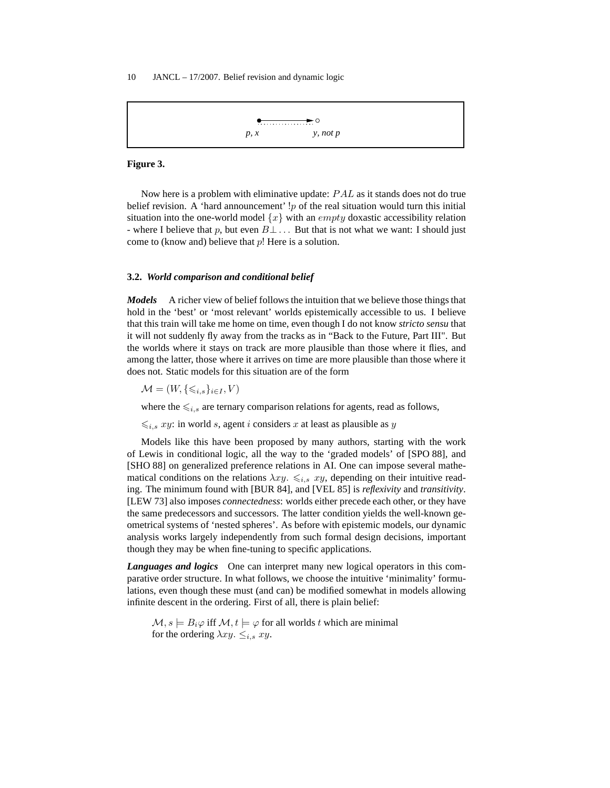

**Figure 3.**

Now here is a problem with eliminative update: PAL as it stands does not do true belief revision. A 'hard announcement'  $\mathfrak{p}$  of the real situation would turn this initial situation into the one-world model  $\{x\}$  with an *empty* doxastic accessibility relation - where I believe that p, but even  $B\perp \ldots$  But that is not what we want: I should just come to (know and) believe that  $p!$  Here is a solution.

## **3.2.** *World comparison and conditional belief*

*Models* A richer view of belief follows the intuition that we believe those things that hold in the 'best' or 'most relevant' worlds epistemically accessible to us. I believe that this train will take me home on time, even though I do not know *stricto sensu* that it will not suddenly fly away from the tracks as in "Back to the Future, Part III". But the worlds where it stays on track are more plausible than those where it flies, and among the latter, those where it arrives on time are more plausible than those where it does not. Static models for this situation are of the form

 $\mathcal{M} = (W, \{\leqslant_{i,s}\}_{i \in I}, V)$ 

where the  $\leq i,s$  are ternary comparison relations for agents, read as follows,

 $\leq i,s$  xy: in world s, agent i considers x at least as plausible as y

Models like this have been proposed by many authors, starting with the work of Lewis in conditional logic, all the way to the 'graded models' of [SPO 88], and [SHO 88] on generalized preference relations in AI. One can impose several mathematical conditions on the relations  $\lambda xy$ .  $\leq_{i,s} xy$ , depending on their intuitive reading. The minimum found with [BUR 84], and [VEL 85] is *reflexivity* and *transitivity*. [LEW 73] also imposes *connectedness*: worlds either precede each other, or they have the same predecessors and successors. The latter condition yields the well-known geometrical systems of 'nested spheres'. As before with epistemic models, our dynamic analysis works largely independently from such formal design decisions, important though they may be when fine-tuning to specific applications.

*Languages and logics* One can interpret many new logical operators in this comparative order structure. In what follows, we choose the intuitive 'minimality' formulations, even though these must (and can) be modified somewhat in models allowing infinite descent in the ordering. First of all, there is plain belief:

 $\mathcal{M}, s \models B_i \varphi$  iff  $\mathcal{M}, t \models \varphi$  for all worlds t which are minimal for the ordering  $\lambda xy. \leq_{i,s} xy$ .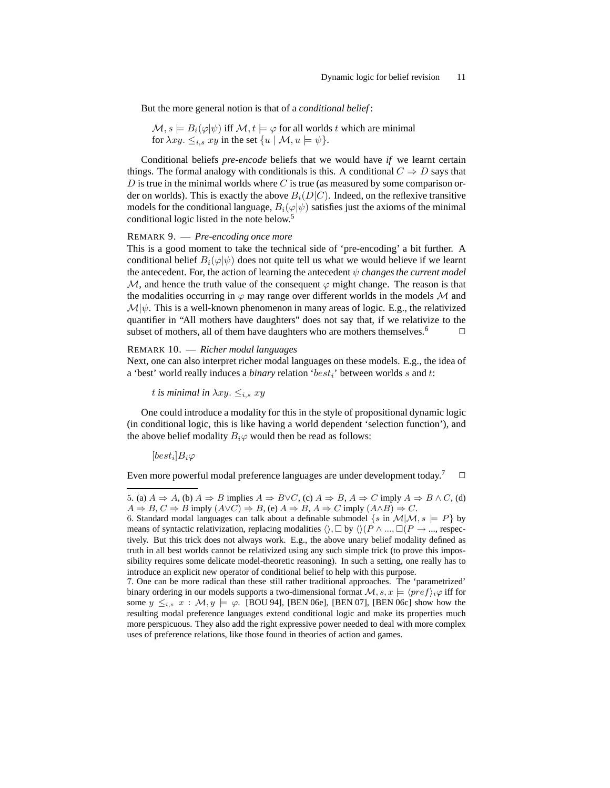But the more general notion is that of a *conditional belief* :

 $\mathcal{M}, s \models B_i(\varphi|\psi)$  iff  $\mathcal{M}, t \models \varphi$  for all worlds t which are minimal for  $\lambda xy. \leq_{i,s} xy$  in the set  $\{u \mid \mathcal{M}, u \models \psi\}.$ 

Conditional beliefs *pre-encode* beliefs that we would have *if* we learnt certain things. The formal analogy with conditionals is this. A conditional  $C \Rightarrow D$  says that D is true in the minimal worlds where C is true (as measured by some comparison order on worlds). This is exactly the above  $B_i(D|C)$ . Indeed, on the reflexive transitive models for the conditional language,  $B_i(\varphi|\psi)$  satisfies just the axioms of the minimal conditional logic listed in the note below.<sup>5</sup>

## REMARK 9. — *Pre-encoding once more*

This is a good moment to take the technical side of 'pre-encoding' a bit further. A conditional belief  $B_i(\varphi|\psi)$  does not quite tell us what we would believe if we learnt the antecedent. For, the action of learning the antecedent  $\psi$  *changes the current model* M, and hence the truth value of the consequent  $\varphi$  might change. The reason is that the modalities occurring in  $\varphi$  may range over different worlds in the models M and  $\mathcal{M}|\psi$ . This is a well-known phenomenon in many areas of logic. E.g., the relativized quantifier in "All mothers have daughters" does not say that, if we relativize to the subset of mothers, all of them have daughters who are mothers themselves.<sup>6</sup>

## REMARK 10. — *Richer modal languages*

Next, one can also interpret richer modal languages on these models. E.g., the idea of a 'best' world really induces a *binary* relation 'best<sub>i</sub>' between worlds s and t:

*t is minimal in*  $\lambda xy. \leq_{i,s} xy$ 

One could introduce a modality for this in the style of propositional dynamic logic (in conditional logic, this is like having a world dependent 'selection function'), and the above belief modality  $B_i\varphi$  would then be read as follows:

 $[best_i]B_i\varphi$ 

Even more powerful modal preference languages are under development today.<sup>7</sup>  $\Box$ 

<sup>5. (</sup>a)  $A \Rightarrow A$ , (b)  $A \Rightarrow B$  implies  $A \Rightarrow B \lor C$ , (c)  $A \Rightarrow B$ ,  $A \Rightarrow C$  imply  $A \Rightarrow B \land C$ , (d)  $A \Rightarrow B, C \Rightarrow B$  imply  $(A \lor C) \Rightarrow B$ , (e)  $A \Rightarrow B, A \Rightarrow C$  imply  $(A \land B) \Rightarrow C$ .

<sup>6.</sup> Standard modal languages can talk about a definable submodel  $\{s \text{ in } \mathcal{M} | \mathcal{M}, s \models P\}$  by means of syntactic relativization, replacing modalities  $\langle \rangle, \Box$  by  $\langle \rangle(P \land ..., \Box(P \rightarrow ..., \text{respec-})$ tively. But this trick does not always work. E.g., the above unary belief modality defined as truth in all best worlds cannot be relativized using any such simple trick (to prove this impossibility requires some delicate model-theoretic reasoning). In such a setting, one really has to introduce an explicit new operator of conditional belief to help with this purpose.

<sup>7</sup>. One can be more radical than these still rather traditional approaches. The 'parametrized' binary ordering in our models supports a two-dimensional format  $\mathcal{M}, s, x \models \langle pref \rangle_i \varphi$  iff for some  $y \leq_{i,s} x : \mathcal{M}, y \models \varphi$ . [BOU 94], [BEN 06e], [BEN 07], [BEN 06c] show how the resulting modal preference languages extend conditional logic and make its properties much more perspicuous. They also add the right expressive power needed to deal with more complex uses of preference relations, like those found in theories of action and games.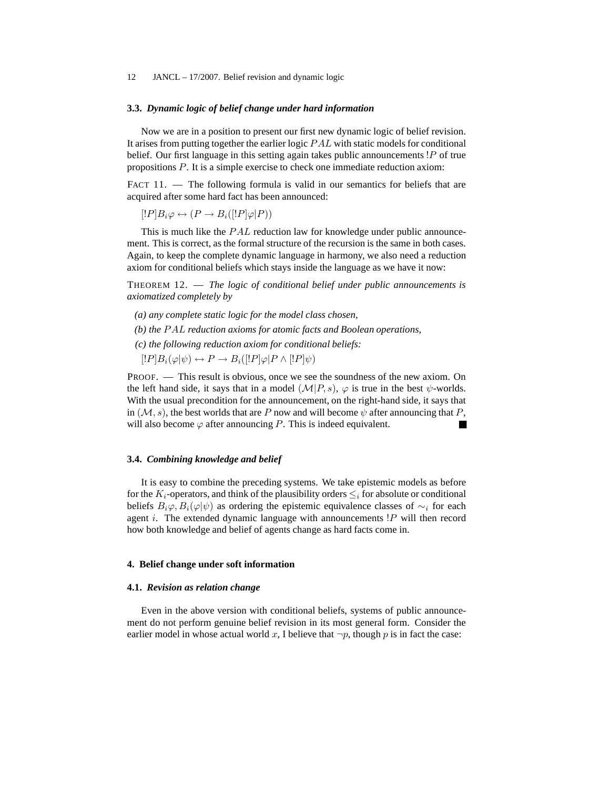## **3.3.** *Dynamic logic of belief change under hard information*

Now we are in a position to present our first new dynamic logic of belief revision. It arises from putting together the earlier logic PAL with static models for conditional belief. Our first language in this setting again takes public announcements !P of true propositions P. It is a simple exercise to check one immediate reduction axiom:

FACT 11. — The following formula is valid in our semantics for beliefs that are acquired after some hard fact has been announced:

 $[!P]B_i\varphi \leftrightarrow (P \rightarrow B_i([!P]\varphi|P))$ 

This is much like the PAL reduction law for knowledge under public announcement. This is correct, as the formal structure of the recursion is the same in both cases. Again, to keep the complete dynamic language in harmony, we also need a reduction axiom for conditional beliefs which stays inside the language as we have it now:

THEOREM 12. — *The logic of conditional belief under public announcements is axiomatized completely by*

- *(a) any complete static logic for the model class chosen,*
- *(b) the* PAL *reduction axioms for atomic facts and Boolean operations,*
- *(c) the following reduction axiom for conditional beliefs:*
- $[!P]B_i(\varphi|\psi) \leftrightarrow P \rightarrow B_i([!P]\varphi|P \wedge [!P]\psi)$

PROOF. — This result is obvious, once we see the soundness of the new axiom. On the left hand side, it says that in a model  $(M|P, s)$ ,  $\varphi$  is true in the best  $\psi$ -worlds. With the usual precondition for the announcement, on the right-hand side, it says that in  $(M, s)$ , the best worlds that are P now and will become  $\psi$  after announcing that P, will also become  $\varphi$  after announcing P. This is indeed equivalent.

## **3.4.** *Combining knowledge and belief*

It is easy to combine the preceding systems. We take epistemic models as before for the  $K_i$ -operators, and think of the plausibility orders  $\leq_i$  for absolute or conditional beliefs  $B_i\varphi, B_i(\varphi|\psi)$  as ordering the epistemic equivalence classes of  $\sim_i$  for each agent  $i$ . The extended dynamic language with announcements  $P$  will then record how both knowledge and belief of agents change as hard facts come in.

# **4. Belief change under soft information**

#### **4.1.** *Revision as relation change*

Even in the above version with conditional beliefs, systems of public announcement do not perform genuine belief revision in its most general form. Consider the earlier model in whose actual world x, I believe that  $\neg p$ , though p is in fact the case: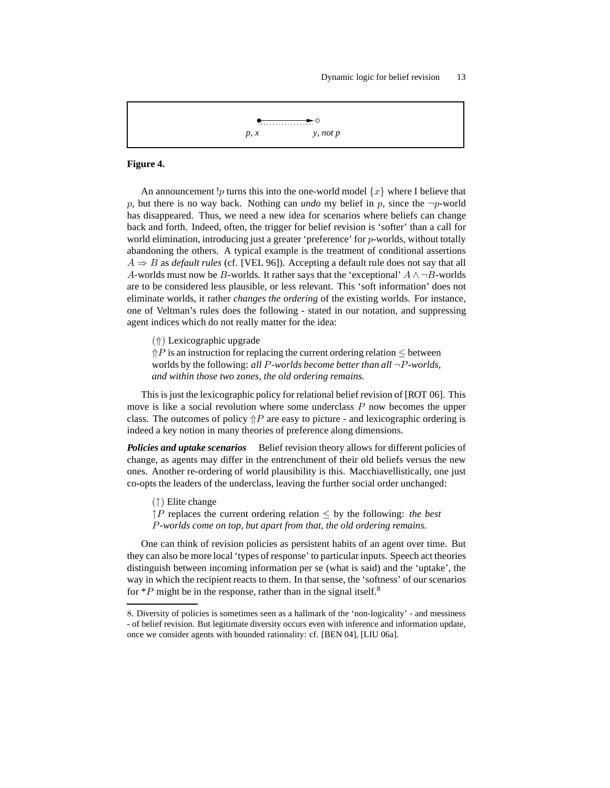

# **Figure 4.**

An announcement !p turns this into the one-world model  $\{x\}$  where I believe that p, but there is no way back. Nothing can *undo* my belief in p, since the  $\neg p$ -world has disappeared. Thus, we need a new idea for scenarios where beliefs can change back and forth. Indeed, often, the trigger for belief revision is 'softer' than a call for world elimination, introducing just a greater 'preference' for *p*-worlds, without totally abandoning the others. A typical example is the treatment of conditional assertions A ⇒ B as *default rules* (cf. [VEL 96]). Accepting a default rule does not say that all A-worlds must now be B-worlds. It rather says that the 'exceptional'  $A \wedge \neg B$ -worlds are to be considered less plausible, or less relevant. This 'soft information' does not eliminate worlds, it rather *changes the ordering* of the existing worlds. For instance, one of Veltman's rules does the following - stated in our notation, and suppressing agent indices which do not really matter for the idea:

(⇑) Lexicographic upgrade

 $\Uparrow P$  is an instruction for replacing the current ordering relation  $\leq$  between worlds by the following: *all* P*-worlds become better than all* ¬P*-worlds, and within those two zones, the old ordering remains.*

This is just the lexicographic policy for relational belief revision of [ROT 06]. This move is like a social revolution where some underclass  $P$  now becomes the upper class. The outcomes of policy  $\Uparrow P$  are easy to picture - and lexicographic ordering is indeed a key notion in many theories of preference along dimensions.

*Policies and uptake scenarios* Belief revision theory allows for different policies of change, as agents may differ in the entrenchment of their old beliefs versus the new ones. Another re-ordering of world plausibility is this. Macchiavellistically, one just co-opts the leaders of the underclass, leaving the further social order unchanged:

- (↑) Elite change
- $\uparrow$ P replaces the current ordering relation  $\leq$  by the following: *the best* P*-worlds come on top, but apart from that, the old ordering remains.*

One can think of revision policies as persistent habits of an agent over time. But they can also be more local 'types of response' to particular inputs. Speech act theories distinguish between incoming information per se (what is said) and the 'uptake', the way in which the recipient reacts to them. In that sense, the 'softness' of our scenarios for  $P$  might be in the response, rather than in the signal itself.<sup>8</sup>

<sup>8</sup>. Diversity of policies is sometimes seen as a hallmark of the 'non-logicality' - and messiness - of belief revision. But legitimate diversity occurs even with inference and information update, once we consider agents with bounded rationality: cf. [BEN 04], [LIU 06a].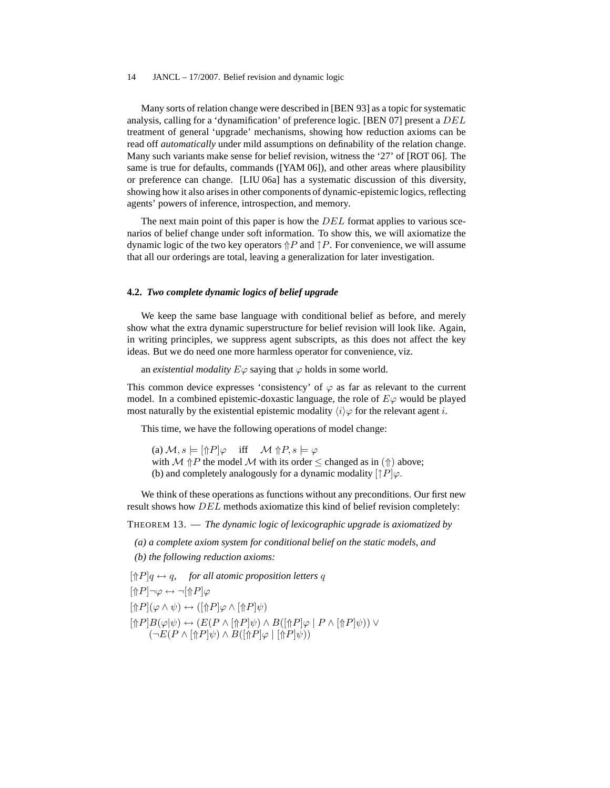Many sorts of relation change were described in [BEN 93] as a topic for systematic analysis, calling for a 'dynamification' of preference logic. [BEN 07] present a DEL treatment of general 'upgrade' mechanisms, showing how reduction axioms can be read off *automatically* under mild assumptions on definability of the relation change. Many such variants make sense for belief revision, witness the '27' of [ROT 06]. The same is true for defaults, commands ([YAM 06]), and other areas where plausibility or preference can change. [LIU 06a] has a systematic discussion of this diversity, showing how it also arises in other components of dynamic-epistemic logics, reflecting agents' powers of inference, introspection, and memory.

The next main point of this paper is how the DEL format applies to various scenarios of belief change under soft information. To show this, we will axiomatize the dynamic logic of the two key operators  $\Uparrow P$  and  $\uparrow P$ . For convenience, we will assume that all our orderings are total, leaving a generalization for later investigation.

## **4.2.** *Two complete dynamic logics of belief upgrade*

We keep the same base language with conditional belief as before, and merely show what the extra dynamic superstructure for belief revision will look like. Again, in writing principles, we suppress agent subscripts, as this does not affect the key ideas. But we do need one more harmless operator for convenience, viz.

an *existential modality*  $E\varphi$  saying that  $\varphi$  holds in some world.

This common device expresses 'consistency' of  $\varphi$  as far as relevant to the current model. In a combined epistemic-doxastic language, the role of  $E\varphi$  would be played most naturally by the existential epistemic modality  $\langle i \rangle \varphi$  for the relevant agent *i*.

This time, we have the following operations of model change:

(a)  $\mathcal{M}, s \models [\Uparrow P] \varphi$  iff  $\mathcal{M} \Uparrow P, s \models \varphi$ with  $M \nparallel P$  the model M with its order  $\leq$  changed as in  $(\Uparrow)$  above; (b) and completely analogously for a dynamic modality  $\lceil \uparrow P \rceil \varphi$ .

We think of these operations as functions without any preconditions. Our first new result shows how DEL methods axiomatize this kind of belief revision completely:

THEOREM 13. — *The dynamic logic of lexicographic upgrade is axiomatized by*

*(a) a complete axiom system for conditional belief on the static models, and*

*(b) the following reduction axioms:*

 $[\n\Uparrow P]q \leftrightarrow q$ , for all atomic proposition letters q

$$
[\Uparrow P]\neg\varphi\leftrightarrow\neg[\Uparrow P]\varphi
$$

 $[\Uparrow P](\varphi \wedge \psi) \leftrightarrow ([\Uparrow P]\varphi \wedge [\Uparrow P]\psi)$ 

 $[\Uparrow P] B(\varphi|\psi) \leftrightarrow (E(P \wedge [\Uparrow P]\psi) \wedge B([\Uparrow P]\varphi \mid P \wedge [\Uparrow P]\psi)) \vee \varphi$  $(\neg E(P \land [\Uparrow P]\psi) \land B([\Uparrow P]\varphi \mid [\Uparrow P]\psi))$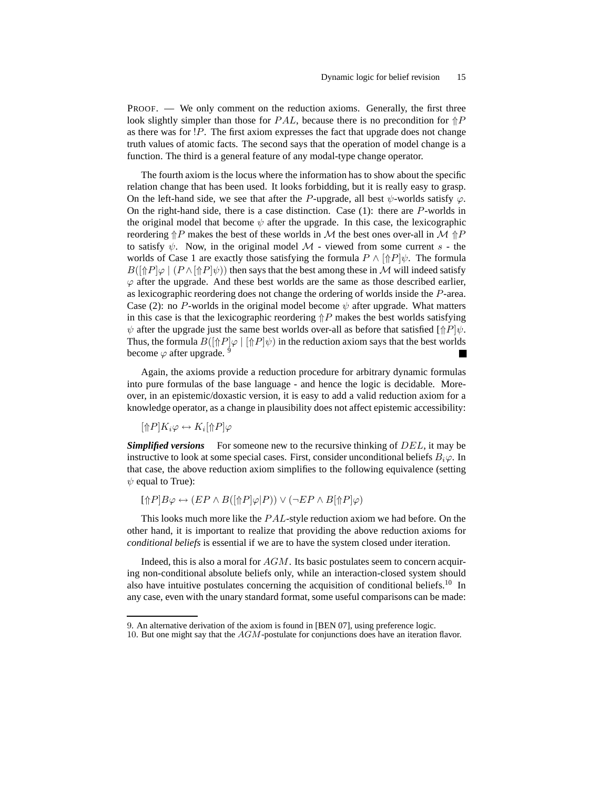PROOF. — We only comment on the reduction axioms. Generally, the first three look slightly simpler than those for PAL, because there is no precondition for  $\Uparrow P$ as there was for !P. The first axiom expresses the fact that upgrade does not change truth values of atomic facts. The second says that the operation of model change is a function. The third is a general feature of any modal-type change operator.

The fourth axiom is the locus where the information has to show about the specific relation change that has been used. It looks forbidding, but it is really easy to grasp. On the left-hand side, we see that after the P-upgrade, all best  $\psi$ -worlds satisfy  $\varphi$ . On the right-hand side, there is a case distinction. Case (1): there are P-worlds in the original model that become  $\psi$  after the upgrade. In this case, the lexicographic reordering  $\Uparrow P$  makes the best of these worlds in M the best ones over-all in M  $\Uparrow P$ to satisfy  $\psi$ . Now, in the original model M - viewed from some current s - the worlds of Case 1 are exactly those satisfying the formula  $P \wedge [\Uparrow P]\psi$ . The formula  $B(\lceil \Uparrow P \rceil \varphi \mid (P \wedge \lceil \Uparrow P \rceil \psi))$  then says that the best among these in M will indeed satisfy  $\varphi$  after the upgrade. And these best worlds are the same as those described earlier, as lexicographic reordering does not change the ordering of worlds inside the P-area. Case (2): no P-worlds in the original model become  $\psi$  after upgrade. What matters in this case is that the lexicographic reordering  $\Uparrow P$  makes the best worlds satisfying  $\psi$  after the upgrade just the same best worlds over-all as before that satisfied  $[\Uparrow P]\psi$ . Thus, the formula  $B([\uparrow P]\varphi \mid [\uparrow P]\psi)$  in the reduction axiom says that the best worlds become  $\varphi$  after upgrade. <sup>9</sup>

Again, the axioms provide a reduction procedure for arbitrary dynamic formulas into pure formulas of the base language - and hence the logic is decidable. Moreover, in an epistemic/doxastic version, it is easy to add a valid reduction axiom for a knowledge operator, as a change in plausibility does not affect epistemic accessibility:

 $[\Uparrow P] K_i \varphi \leftrightarrow K_i[\Uparrow P] \varphi$ 

**Simplified versions** For someone new to the recursive thinking of DEL, it may be instructive to look at some special cases. First, consider unconditional beliefs  $B_i\varphi$ . In that case, the above reduction axiom simplifies to the following equivalence (setting  $\psi$  equal to True):

 $[\Uparrow P|B\varphi \leftrightarrow (EP \wedge B([\Uparrow P]\varphi|P)) \vee (\neg EP \wedge B[\Uparrow P]\varphi)$ 

This looks much more like the PAL-style reduction axiom we had before. On the other hand, it is important to realize that providing the above reduction axioms for *conditional beliefs* is essential if we are to have the system closed under iteration.

Indeed, this is also a moral for  $AGM$ . Its basic postulates seem to concern acquiring non-conditional absolute beliefs only, while an interaction-closed system should also have intuitive postulates concerning the acquisition of conditional beliefs.<sup>10</sup> In any case, even with the unary standard format, some useful comparisons can be made:

<sup>9</sup>. An alternative derivation of the axiom is found in [BEN 07], using preference logic.

<sup>10.</sup> But one might say that the  $AGM$ -postulate for conjunctions does have an iteration flavor.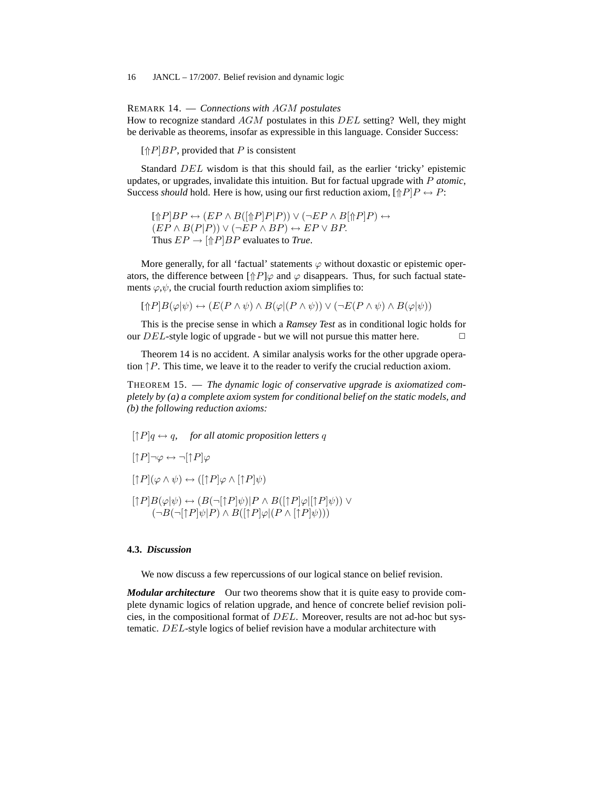#### REMARK 14. — *Connections with* AGM *postulates*

How to recognize standard  $AGM$  postulates in this  $DEL$  setting? Well, they might be derivable as theorems, insofar as expressible in this language. Consider Success:

 $[\|P\|BP$ , provided that P is consistent

Standard DEL wisdom is that this should fail, as the earlier 'tricky' epistemic updates, or upgrades, invalidate this intuition. But for factual upgrade with P *atomic*, Success *should* hold. Here is how, using our first reduction axiom,  $[\uparrow P]P \leftrightarrow P$ :

 $[\Uparrow P]BP \leftrightarrow (EP \wedge B([\Uparrow P]P|P)) \vee (\neg EP \wedge B[\Uparrow P]P) \leftrightarrow$  $(EP \wedge B(P|P)) \vee (\neg EP \wedge BP) \leftrightarrow EP \vee BP.$ Thus  $EP \rightarrow [\Uparrow P]BP$  evaluates to *True*.

More generally, for all 'factual' statements  $\varphi$  without doxastic or epistemic operators, the difference between  $[\Uparrow P]\varphi$  and  $\varphi$  disappears. Thus, for such factual statements  $\varphi, \psi$ , the crucial fourth reduction axiom simplifies to:

 $[\Uparrow P]B(\varphi|\psi) \leftrightarrow (E(P \wedge \psi) \wedge B(\varphi|(P \wedge \psi)) \vee (\neg E(P \wedge \psi) \wedge B(\varphi|\psi))$ 

This is the precise sense in which a *Ramsey Test* as in conditional logic holds for our  $DEL$ -style logic of upgrade - but we will not pursue this matter here.  $\Box$ 

Theorem 14 is no accident. A similar analysis works for the other upgrade operation  $\uparrow P$ . This time, we leave it to the reader to verify the crucial reduction axiom.

THEOREM 15. — *The dynamic logic of conservative upgrade is axiomatized completely by (a) a complete axiom system for conditional belief on the static models, and (b) the following reduction axioms:*

[↑P]q ↔ q*, for all atomic proposition letters* q

$$
\begin{aligned}\n[ \uparrow P ] \neg \varphi &\leftrightarrow \neg [\uparrow P ] \varphi \\
[ \uparrow P ] (\varphi \wedge \psi) &\leftrightarrow ([ \uparrow P ] \varphi \wedge [ \uparrow P ] \psi) \\
[ \uparrow P ] B (\varphi | \psi) &\leftrightarrow ( B (\neg [ \uparrow P ] \psi ) | P \wedge B ([ \uparrow P ] \varphi | [ \uparrow P ] \psi)) \vee \\
( \neg B (\neg [ \uparrow P ] \psi | P) \wedge B ([ \uparrow P ] \varphi | ( P \wedge [ \uparrow P ] \psi)))\n\end{aligned}
$$

# **4.3.** *Discussion*

We now discuss a few repercussions of our logical stance on belief revision.

*Modular architecture* Our two theorems show that it is quite easy to provide complete dynamic logics of relation upgrade, and hence of concrete belief revision policies, in the compositional format of DEL. Moreover, results are not ad-hoc but systematic. DEL-style logics of belief revision have a modular architecture with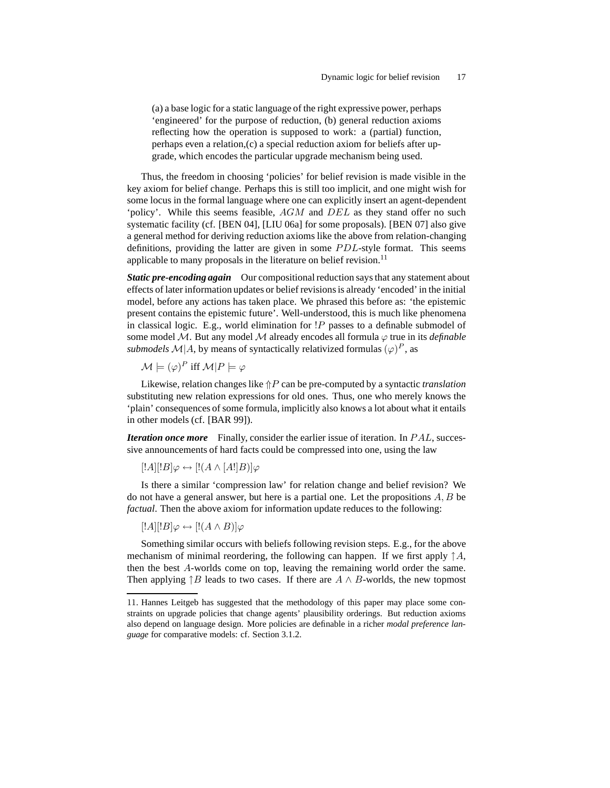(a) a base logic for a static language of the right expressive power, perhaps 'engineered' for the purpose of reduction, (b) general reduction axioms reflecting how the operation is supposed to work: a (partial) function, perhaps even a relation,(c) a special reduction axiom for beliefs after upgrade, which encodes the particular upgrade mechanism being used.

Thus, the freedom in choosing 'policies' for belief revision is made visible in the key axiom for belief change. Perhaps this is still too implicit, and one might wish for some locus in the formal language where one can explicitly insert an agent-dependent 'policy'. While this seems feasible,  $AGM$  and  $DEL$  as they stand offer no such systematic facility (cf. [BEN 04], [LIU 06a] for some proposals). [BEN 07] also give a general method for deriving reduction axioms like the above from relation-changing definitions, providing the latter are given in some PDL-style format. This seems applicable to many proposals in the literature on belief revision.<sup>11</sup>

*Static pre-encoding again* Our compositional reduction says that any statement about effects of later information updates or belief revisions is already 'encoded' in the initial model, before any actions has taken place. We phrased this before as: 'the epistemic present contains the epistemic future'. Well-understood, this is much like phenomena in classical logic. E.g., world elimination for  $P$  passes to a definable submodel of some model M. But any model M already encodes all formula  $\varphi$  true in its *definable submodels*  $\mathcal{M}|A$ , by means of syntactically relativized formulas  $(\varphi)^P$ , as

 $\mathcal{M} \models (\varphi)^P$  iff  $\mathcal{M}|P \models \varphi$ 

Likewise, relation changes like  $\Uparrow P$  can be pre-computed by a syntactic *translation* substituting new relation expressions for old ones. Thus, one who merely knows the 'plain' consequences of some formula, implicitly also knows a lot about what it entails in other models (cf. [BAR 99]).

*Iteration once more* Finally, consider the earlier issue of iteration. In PAL, successive announcements of hard facts could be compressed into one, using the law

 $[!A][!B]\varphi \leftrightarrow [!(A\wedge [A!]B)]\varphi$ 

Is there a similar 'compression law' for relation change and belief revision? We do not have a general answer, but here is a partial one. Let the propositions  $A, B$  be *factual*. Then the above axiom for information update reduces to the following:

$$
[!A][!B]\varphi \leftrightarrow [!(A \wedge B)]\varphi
$$

Something similar occurs with beliefs following revision steps. E.g., for the above mechanism of minimal reordering, the following can happen. If we first apply  $\uparrow A$ , then the best A-worlds come on top, leaving the remaining world order the same. Then applying  $\uparrow B$  leads to two cases. If there are  $A \wedge B$ -worlds, the new topmost

<sup>11</sup>. Hannes Leitgeb has suggested that the methodology of this paper may place some constraints on upgrade policies that change agents' plausibility orderings. But reduction axioms also depend on language design. More policies are definable in a richer *modal preference language* for comparative models: cf. Section 3.1.2.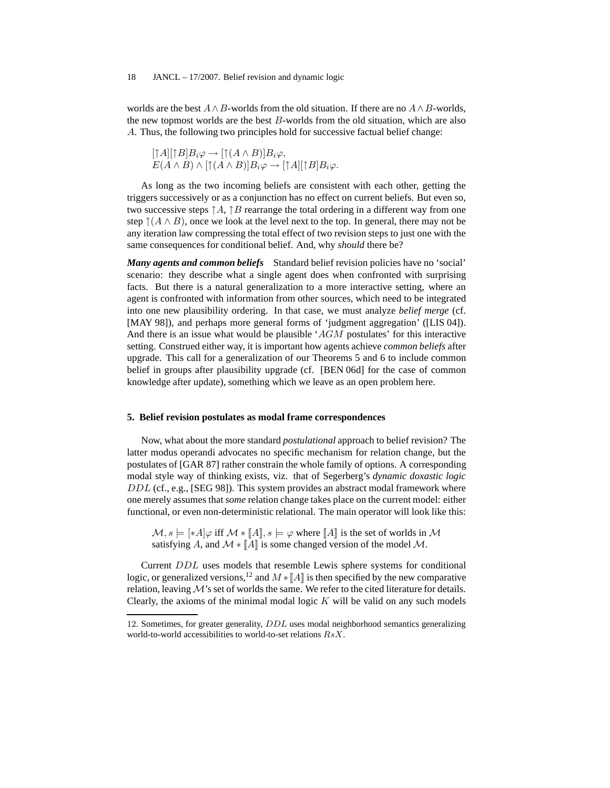worlds are the best  $A \wedge B$ -worlds from the old situation. If there are no  $A \wedge B$ -worlds, the new topmost worlds are the best  $B$ -worlds from the old situation, which are also A. Thus, the following two principles hold for successive factual belief change:

 $\lbrack \uparrow A\rbrack \lbrack \uparrow B\rbrack B_i\varphi \rightarrow \lbrack \uparrow (A \wedge B)\rbrack B_i\varphi,$  $E(A \wedge B) \wedge [\uparrow(A \wedge B)]B_i\varphi \rightarrow [\uparrow A][\uparrow B]B_i\varphi.$ 

As long as the two incoming beliefs are consistent with each other, getting the triggers successively or as a conjunction has no effect on current beliefs. But even so, two successive steps  $\uparrow A$ ,  $\uparrow B$  rearrange the total ordering in a different way from one step  $\uparrow (A \wedge B)$ , once we look at the level next to the top. In general, there may not be any iteration law compressing the total effect of two revision steps to just one with the same consequences for conditional belief. And, why *should* there be?

*Many agents and common beliefs* Standard belief revision policies have no 'social' scenario: they describe what a single agent does when confronted with surprising facts. But there is a natural generalization to a more interactive setting, where an agent is confronted with information from other sources, which need to be integrated into one new plausibility ordering. In that case, we must analyze *belief merge* (cf. [MAY 98]), and perhaps more general forms of 'judgment aggregation' ([LIS 04]). And there is an issue what would be plausible 'AGM postulates' for this interactive setting. Construed either way, it is important how agents achieve *common beliefs* after upgrade. This call for a generalization of our Theorems 5 and 6 to include common belief in groups after plausibility upgrade (cf. [BEN 06d] for the case of common knowledge after update), something which we leave as an open problem here.

#### **5. Belief revision postulates as modal frame correspondences**

Now, what about the more standard *postulational* approach to belief revision? The latter modus operandi advocates no specific mechanism for relation change, but the postulates of [GAR 87] rather constrain the whole family of options. A corresponding modal style way of thinking exists, viz. that of Segerberg's *dynamic doxastic logic* DDL (cf., e.g., [SEG 98]). This system provides an abstract modal framework where one merely assumes that *some* relation change takes place on the current model: either functional, or even non-deterministic relational. The main operator will look like this:

 $\mathcal{M}, s \models [A] \varphi$  iff  $\mathcal{M} \ast [A], s \models \varphi$  where  $[A]$  is the set of worlds in  $\mathcal{M}$ satisfying A, and  $\mathcal{M} * \llbracket A \rrbracket$  is some changed version of the model  $\mathcal{M}$ .

Current DDL uses models that resemble Lewis sphere systems for conditional logic, or generalized versions,<sup>12</sup> and  $M \times [A]$  is then specified by the new comparative relation, leaving  $M$ 's set of worlds the same. We refer to the cited literature for details. Clearly, the axioms of the minimal modal logic  $K$  will be valid on any such models

<sup>12</sup>. Sometimes, for greater generality, DDL uses modal neighborhood semantics generalizing world-to-world accessibilities to world-to-set relations RsX.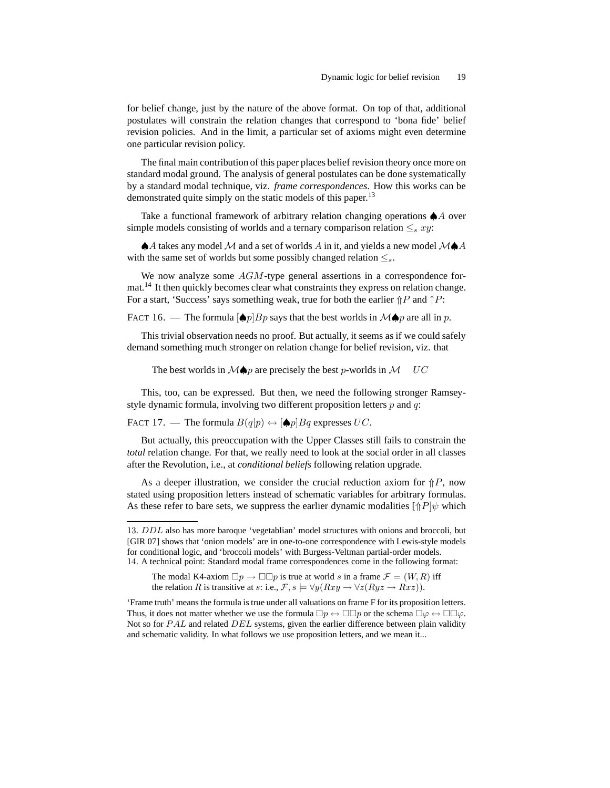for belief change, just by the nature of the above format. On top of that, additional postulates will constrain the relation changes that correspond to 'bona fide' belief revision policies. And in the limit, a particular set of axioms might even determine one particular revision policy.

The final main contribution of this paper places belief revision theory once more on standard modal ground. The analysis of general postulates can be done systematically by a standard modal technique, viz. *frame correspondences*. How this works can be demonstrated quite simply on the static models of this paper.<sup>13</sup>

Take a functional framework of arbitrary relation changing operations ♠A over simple models consisting of worlds and a ternary comparison relation  $\leq_s xy$ :

♦ A takes any model M and a set of worlds A in it, and yields a new model  $\mathcal{M}$  ♦ A with the same set of worlds but some possibly changed relation  $\leq_s$ .

We now analyze some AGM-type general assertions in a correspondence format.<sup>14</sup> It then quickly becomes clear what constraints they express on relation change. For a start, 'Success' says something weak, true for both the earlier  $\Uparrow P$  and  $\Uparrow P$ :

FACT 16. — The formula  $[\spadesuit p]Bp$  says that the best worlds in  $\mathcal{M}\spadesuit p$  are all in p.

This trivial observation needs no proof. But actually, it seems as if we could safely demand something much stronger on relation change for belief revision, viz. that

The best worlds in  $\mathcal{M}$   $\spadesuit p$  are precisely the best p-worlds in  $\mathcal{M}$  UC

This, too, can be expressed. But then, we need the following stronger Ramseystyle dynamic formula, involving two different proposition letters  $p$  and  $q$ :

FACT 17. — The formula  $B(q|p) \leftrightarrow [\spadesuit p] Bq$  expresses  $UC$ .

But actually, this preoccupation with the Upper Classes still fails to constrain the *total* relation change. For that, we really need to look at the social order in all classes after the Revolution, i.e., at *conditional beliefs* following relation upgrade.

As a deeper illustration, we consider the crucial reduction axiom for  $\Uparrow P$ , now stated using proposition letters instead of schematic variables for arbitrary formulas. As these refer to bare sets, we suppress the earlier dynamic modalities  $[ $\uparrow P\psi$  which$ 

<sup>13</sup>. DDL also has more baroque 'vegetablian' model structures with onions and broccoli, but [GIR 07] shows that 'onion models' are in one-to-one correspondence with Lewis-style models for conditional logic, and 'broccoli models' with Burgess-Veltman partial-order models. 14. A technical point: Standard modal frame correspondences come in the following format:

The modal K4-axiom  $\Box p \rightarrow \Box \Box p$  is true at world s in a frame  $\mathcal{F} = (W, R)$  iff the relation R is transitive at s: i.e.,  $\mathcal{F}, s \models \forall y(Rxy \rightarrow \forall z(Ryz \rightarrow Rxz)).$ 

<sup>&#</sup>x27;Frame truth' means the formula is true under all valuations on frame F for its proposition letters. Thus, it does not matter whether we use the formula  $\Box p \leftrightarrow \Box \Box p$  or the schema  $\Box \varphi \leftrightarrow \Box \Box \varphi$ . Not so for PAL and related DEL systems, given the earlier difference between plain validity and schematic validity. In what follows we use proposition letters, and we mean it...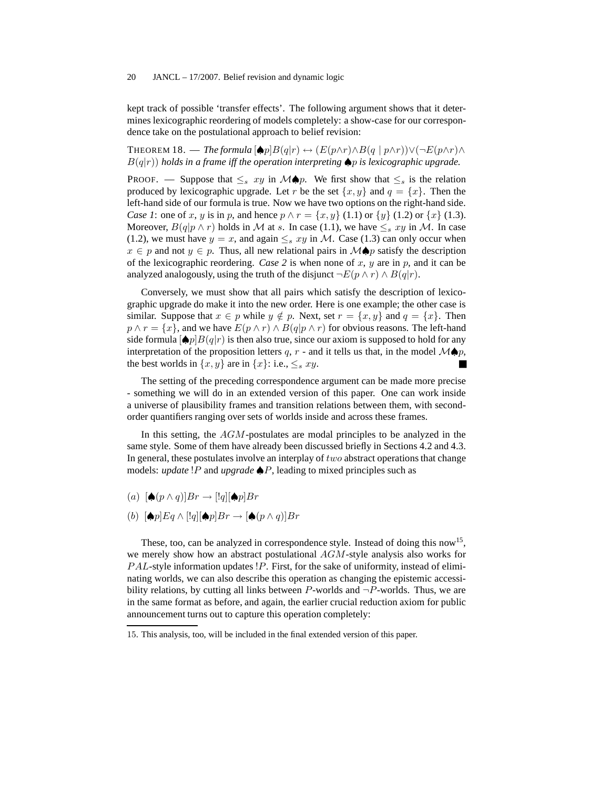kept track of possible 'transfer effects'. The following argument shows that it determines lexicographic reordering of models completely: a show-case for our correspondence take on the postulational approach to belief revision:

THEOREM 18. — *The formula*  $[\spadesuit p]B(q|r) \leftrightarrow (E(p\land r) \land B(q \mid p\land r)) \lor (\neg E(p\land r) \land p\land r)$  $B(q|r)$ ) *holds in a frame iff the operation interpreting*  $\spadesuit p$  *is lexicographic upgrade.* 

PROOF. — Suppose that  $\leq_s xy$  in  $\mathcal{M}\spadesuit p$ . We first show that  $\leq_s$  is the relation produced by lexicographic upgrade. Let r be the set  $\{x, y\}$  and  $q = \{x\}$ . Then the left-hand side of our formula is true. Now we have two options on the right-hand side. *Case 1*: one of x, y is in p, and hence  $p \wedge r = \{x, y\}$  (1.1) or  $\{y\}$  (1.2) or  $\{x\}$  (1.3). Moreover,  $B(q|p \wedge r)$  holds in M at s. In case (1.1), we have  $\leq_s xy$  in M. In case (1.2), we must have  $y = x$ , and again  $\leq_s xy$  in M. Case (1.3) can only occur when  $x \in p$  and not  $y \in p$ . Thus, all new relational pairs in  $\mathcal{M}$   $\spadesuit p$  satisfy the description of the lexicographic reordering. *Case 2* is when none of  $x$ ,  $y$  are in  $p$ , and it can be analyzed analogously, using the truth of the disjunct  $\neg E(p \wedge r) \wedge B(q|r)$ .

Conversely, we must show that all pairs which satisfy the description of lexicographic upgrade do make it into the new order. Here is one example; the other case is similar. Suppose that  $x \in p$  while  $y \notin p$ . Next, set  $r = \{x, y\}$  and  $q = \{x\}$ . Then  $p \wedge r = \{x\}$ , and we have  $E(p \wedge r) \wedge B(q|p \wedge r)$  for obvious reasons. The left-hand side formula  $[\spadesuit p]B(q|r)$  is then also true, since our axiom is supposed to hold for any interpretation of the proposition letters q, r - and it tells us that, in the model  $\mathcal{M}$  $\spadesuit p$ , the best worlds in  $\{x, y\}$  are in  $\{x\}$ : i.e.,  $\leq_s xy$ .

The setting of the preceding correspondence argument can be made more precise - something we will do in an extended version of this paper. One can work inside a universe of plausibility frames and transition relations between them, with secondorder quantifiers ranging over sets of worlds inside and across these frames.

In this setting, the AGM-postulates are modal principles to be analyzed in the same style. Some of them have already been discussed briefly in Sections 4.2 and 4.3. In general, these postulates involve an interplay of  $two$  abstract operations that change models: *update* !P and *upgrade* ♠P, leading to mixed principles such as

- $(a) \ [\spadesuit(p \land q)]Br \rightarrow [!q][\spadesuit p]Br$
- (b)  $[\spadesuit p]Eq \wedge [!q] [\spadesuit p]Br \rightarrow [\spadesuit (p \wedge q)]Br$

These, too, can be analyzed in correspondence style. Instead of doing this now<sup>15</sup>, we merely show how an abstract postulational AGM-style analysis also works for PAL-style information updates !P. First, for the sake of uniformity, instead of eliminating worlds, we can also describe this operation as changing the epistemic accessibility relations, by cutting all links between  $P$ -worlds and  $\neg P$ -worlds. Thus, we are in the same format as before, and again, the earlier crucial reduction axiom for public announcement turns out to capture this operation completely:

<sup>15</sup>. This analysis, too, will be included in the final extended version of this paper.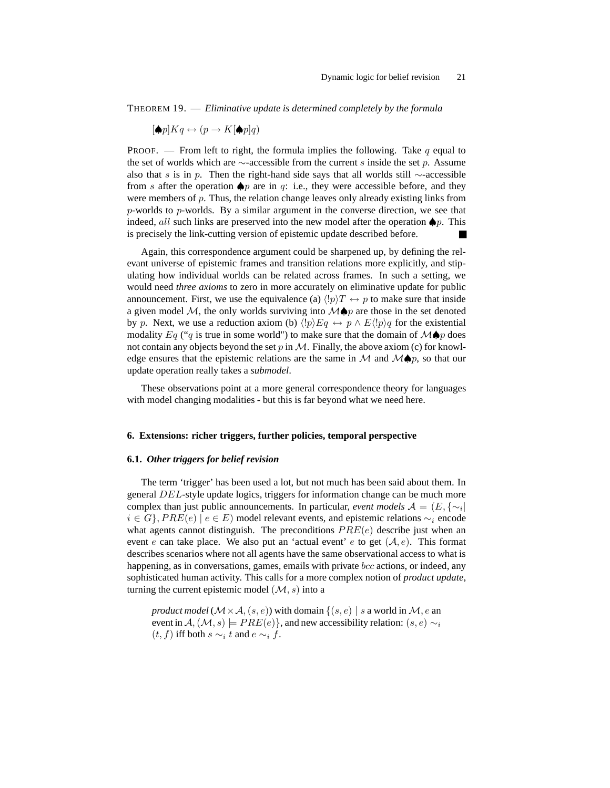THEOREM 19. — *Eliminative update is determined completely by the formula*

$$
[\spadesuit p] Kq \leftrightarrow (p \rightarrow K[\spadesuit p]q)
$$

**PROOF.** — From left to right, the formula implies the following. Take  $q$  equal to the set of worlds which are  $\sim$ -accessible from the current s inside the set p. Assume also that s is in p. Then the right-hand side says that all worlds still  $\sim$ -accessible from s after the operation  $\spadesuit p$  are in q: i.e., they were accessible before, and they were members of p. Thus, the relation change leaves only already existing links from  $p$ -worlds to  $p$ -worlds. By a similar argument in the converse direction, we see that indeed, all such links are preserved into the new model after the operation  $\spadesuit p$ . This is precisely the link-cutting version of epistemic update described before.

Again, this correspondence argument could be sharpened up, by defining the relevant universe of epistemic frames and transition relations more explicitly, and stipulating how individual worlds can be related across frames. In such a setting, we would need *three axioms* to zero in more accurately on eliminative update for public announcement. First, we use the equivalence (a)  $\langle p \rangle T \leftrightarrow p$  to make sure that inside a given model M, the only worlds surviving into  $\mathcal{M}$   $\spadesuit p$  are those in the set denoted by p. Next, we use a reduction axiom (b)  $\langle p \rangle Eq \leftrightarrow p \wedge E\langle p \rangle q$  for the existential modality Eq ("q is true in some world") to make sure that the domain of  $\mathcal{M}$   $\spadesuit p$  does not contain any objects beyond the set  $p$  in  $M$ . Finally, the above axiom (c) for knowledge ensures that the epistemic relations are the same in  $\mathcal M$  and  $\mathcal M$  $\spadesuit p$ , so that our update operation really takes a *submodel*.

These observations point at a more general correspondence theory for languages with model changing modalities - but this is far beyond what we need here.

#### **6. Extensions: richer triggers, further policies, temporal perspective**

#### **6.1.** *Other triggers for belief revision*

The term 'trigger' has been used a lot, but not much has been said about them. In general DEL-style update logics, triggers for information change can be much more complex than just public announcements. In particular, *event models*  $\mathcal{A} = (E, \{\sim_i |$  $i \in G$ ,  $PRE(e) | e \in E$ ) model relevant events, and epistemic relations  $\sim_i$  encode what agents cannot distinguish. The preconditions  $PRE(e)$  describe just when an event e can take place. We also put an 'actual event' e to get  $(A, e)$ . This format describes scenarios where not all agents have the same observational access to what is happening, as in conversations, games, emails with private *bcc* actions, or indeed, any sophisticated human activity. This calls for a more complex notion of *product update*, turning the current epistemic model  $(M, s)$  into a

*product model* ( $\mathcal{M} \times \mathcal{A}, (s, e)$ ) with domain  $\{(s, e) \mid s \text{ a world in } \mathcal{M}, e \text{ an }$ event in  $A,(\mathcal{M}, s) \models PRE(e)$ , and new accessibility relation:  $(s, e) \sim_i$  $(t, f)$  iff both  $s \sim_i t$  and  $e \sim_i f$ .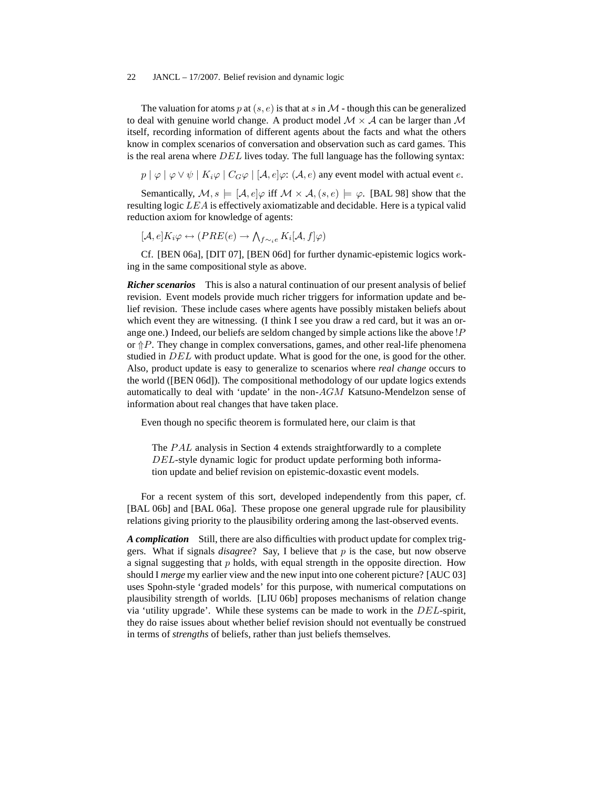The valuation for atoms p at  $(s, e)$  is that at s in  $M$  - though this can be generalized to deal with genuine world change. A product model  $\mathcal{M} \times \mathcal{A}$  can be larger than  $\mathcal{M}$ itself, recording information of different agents about the facts and what the others know in complex scenarios of conversation and observation such as card games. This is the real arena where  $DEL$  lives today. The full language has the following syntax:

 $p | \varphi | \varphi \vee \psi | K_i \varphi | C_G \varphi | [A, e] \varphi$ :  $(A, e)$  any event model with actual event e.

Semantically,  $M, s \models [A, e]\varphi$  iff  $M \times A, (s, e) \models \varphi$ . [BAL 98] show that the resulting logic LEA is effectively axiomatizable and decidable. Here is a typical valid reduction axiom for knowledge of agents:

 $[\mathcal{A}, e]K_i\varphi \leftrightarrow (PRE(e) \rightarrow \bigwedge_{f\sim_i e} K_i[\mathcal{A}, f]\varphi)$ 

Cf. [BEN 06a], [DIT 07], [BEN 06d] for further dynamic-epistemic logics working in the same compositional style as above.

*Richer scenarios* This is also a natural continuation of our present analysis of belief revision. Event models provide much richer triggers for information update and belief revision. These include cases where agents have possibly mistaken beliefs about which event they are witnessing. (I think I see you draw a red card, but it was an orange one.) Indeed, our beliefs are seldom changed by simple actions like the above !P or  $\Uparrow P$ . They change in complex conversations, games, and other real-life phenomena studied in DEL with product update. What is good for the one, is good for the other. Also, product update is easy to generalize to scenarios where *real change* occurs to the world ([BEN 06d]). The compositional methodology of our update logics extends automatically to deal with 'update' in the non-AGM Katsuno-Mendelzon sense of information about real changes that have taken place.

Even though no specific theorem is formulated here, our claim is that

The PAL analysis in Section 4 extends straightforwardly to a complete DEL-style dynamic logic for product update performing both information update and belief revision on epistemic-doxastic event models.

For a recent system of this sort, developed independently from this paper, cf. [BAL 06b] and [BAL 06a]. These propose one general upgrade rule for plausibility relations giving priority to the plausibility ordering among the last-observed events.

*A complication* Still, there are also difficulties with product update for complex triggers. What if signals *disagree*? Say, I believe that p is the case, but now observe a signal suggesting that  $p$  holds, with equal strength in the opposite direction. How should I *merge* my earlier view and the new input into one coherent picture? [AUC 03] uses Spohn-style 'graded models' for this purpose, with numerical computations on plausibility strength of worlds. [LIU 06b] proposes mechanisms of relation change via 'utility upgrade'. While these systems can be made to work in the DEL-spirit, they do raise issues about whether belief revision should not eventually be construed in terms of *strengths* of beliefs, rather than just beliefs themselves.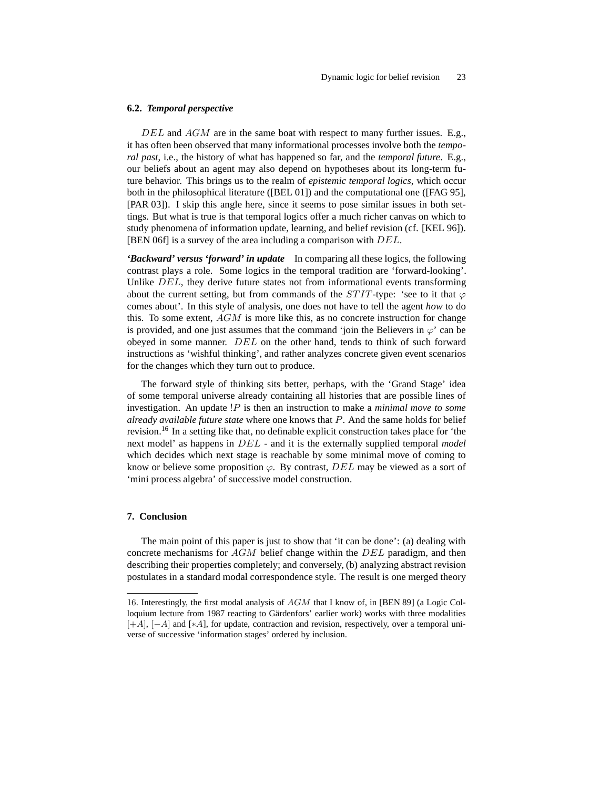## **6.2.** *Temporal perspective*

 $DEL$  and  $AGM$  are in the same boat with respect to many further issues. E.g., it has often been observed that many informational processes involve both the *temporal past*, i.e., the history of what has happened so far, and the *temporal future*. E.g., our beliefs about an agent may also depend on hypotheses about its long-term future behavior. This brings us to the realm of *epistemic temporal logics*, which occur both in the philosophical literature ([BEL 01]) and the computational one ([FAG 95], [PAR 03]). I skip this angle here, since it seems to pose similar issues in both settings. But what is true is that temporal logics offer a much richer canvas on which to study phenomena of information update, learning, and belief revision (cf. [KEL 96]). [BEN 06f] is a survey of the area including a comparison with DEL.

*'Backward' versus 'forward' in update* In comparing all these logics, the following contrast plays a role. Some logics in the temporal tradition are 'forward-looking'. Unlike DEL, they derive future states not from informational events transforming about the current setting, but from commands of the STIT-type: 'see to it that  $\varphi$ comes about'. In this style of analysis, one does not have to tell the agent *how* to do this. To some extent,  $AGM$  is more like this, as no concrete instruction for change is provided, and one just assumes that the command 'join the Believers in  $\varphi$ ' can be obeyed in some manner. DEL on the other hand, tends to think of such forward instructions as 'wishful thinking', and rather analyzes concrete given event scenarios for the changes which they turn out to produce.

The forward style of thinking sits better, perhaps, with the 'Grand Stage' idea of some temporal universe already containing all histories that are possible lines of investigation. An update !P is then an instruction to make a *minimal move to some already available future state* where one knows that P. And the same holds for belief revision.<sup>16</sup> In a setting like that, no definable explicit construction takes place for 'the next model' as happens in DEL - and it is the externally supplied temporal *model* which decides which next stage is reachable by some minimal move of coming to know or believe some proposition  $\varphi$ . By contrast, DEL may be viewed as a sort of 'mini process algebra' of successive model construction.

## **7. Conclusion**

The main point of this paper is just to show that 'it can be done': (a) dealing with concrete mechanisms for AGM belief change within the DEL paradigm, and then describing their properties completely; and conversely, (b) analyzing abstract revision postulates in a standard modal correspondence style. The result is one merged theory

<sup>16</sup>. Interestingly, the first modal analysis of AGM that I know of, in [BEN 89] (a Logic Colloquium lecture from 1987 reacting to Gärdenfors' earlier work) works with three modalities  $[+A]$ ,  $[-A]$  and  $[*A]$ , for update, contraction and revision, respectively, over a temporal universe of successive 'information stages' ordered by inclusion.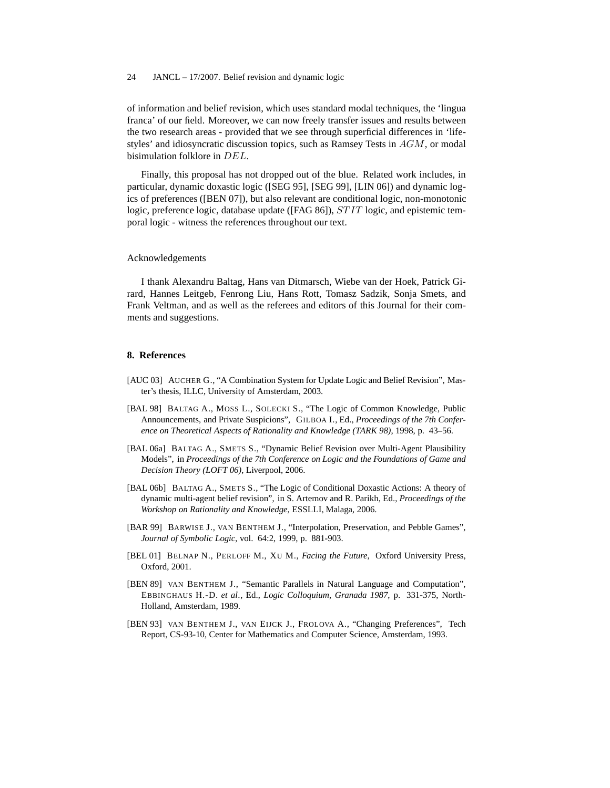of information and belief revision, which uses standard modal techniques, the 'lingua franca' of our field. Moreover, we can now freely transfer issues and results between the two research areas - provided that we see through superficial differences in 'lifestyles' and idiosyncratic discussion topics, such as Ramsey Tests in  $AGM$ , or modal bisimulation folklore in DEL.

Finally, this proposal has not dropped out of the blue. Related work includes, in particular, dynamic doxastic logic ([SEG 95], [SEG 99], [LIN 06]) and dynamic logics of preferences ([BEN 07]), but also relevant are conditional logic, non-monotonic logic, preference logic, database update ([FAG 86]), *STIT* logic, and epistemic temporal logic - witness the references throughout our text.

#### Acknowledgements

I thank Alexandru Baltag, Hans van Ditmarsch, Wiebe van der Hoek, Patrick Girard, Hannes Leitgeb, Fenrong Liu, Hans Rott, Tomasz Sadzik, Sonja Smets, and Frank Veltman, and as well as the referees and editors of this Journal for their comments and suggestions.

#### **8. References**

- [AUC 03] AUCHER G., "A Combination System for Update Logic and Belief Revision", Master's thesis, ILLC, University of Amsterdam, 2003.
- [BAL 98] BALTAG A., MOSS L., SOLECKI S., "The Logic of Common Knowledge, Public Announcements, and Private Suspicions", GILBOA I., Ed., *Proceedings of the 7th Conference on Theoretical Aspects of Rationality and Knowledge (TARK 98)*, 1998, p. 43–56.
- [BAL 06a] BALTAG A., SMETS S., "Dynamic Belief Revision over Multi-Agent Plausibility Models", in *Proceedings of the 7th Conference on Logic and the Foundations of Game and Decision Theory (LOFT 06)*, Liverpool, 2006.
- [BAL 06b] BALTAG A., SMETS S., "The Logic of Conditional Doxastic Actions: A theory of dynamic multi-agent belief revision", in S. Artemov and R. Parikh, Ed., *Proceedings of the Workshop on Rationality and Knowledge*, ESSLLI, Malaga, 2006.
- [BAR 99] BARWISE J., VAN BENTHEM J., "Interpolation, Preservation, and Pebble Games", *Journal of Symbolic Logic*, vol. 64:2, 1999, p. 881-903.
- [BEL 01] BELNAP N., PERLOFF M., XU M., *Facing the Future*, Oxford University Press, Oxford, 2001.
- [BEN 89] VAN BENTHEM J., "Semantic Parallels in Natural Language and Computation", EBBINGHAUS H.-D. *et al*., Ed., *Logic Colloquium, Granada 1987*, p. 331-375, North-Holland, Amsterdam, 1989.
- [BEN 93] VAN BENTHEM J., VAN EIJCK J., FROLOVA A., "Changing Preferences", Tech Report, CS-93-10, Center for Mathematics and Computer Science, Amsterdam, 1993.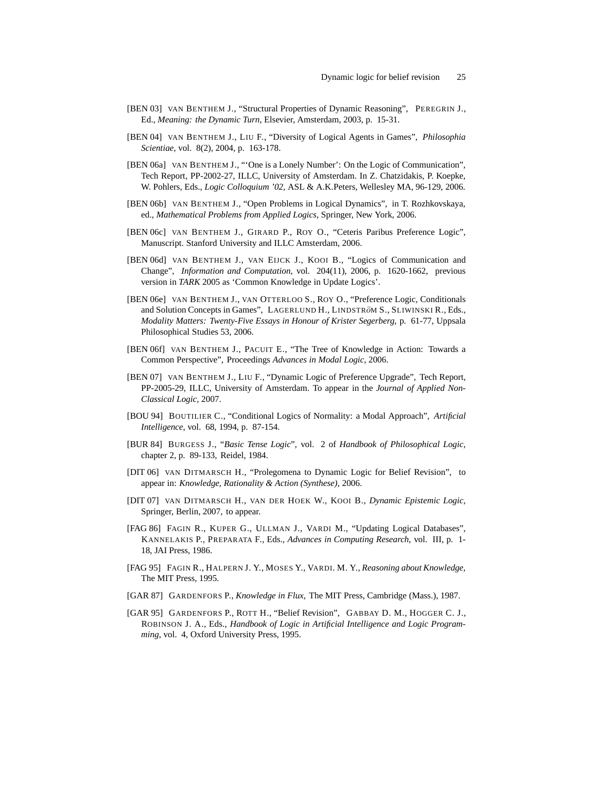- [BEN 03] VAN BENTHEM J., "Structural Properties of Dynamic Reasoning", PEREGRIN J., Ed., *Meaning: the Dynamic Turn*, Elsevier, Amsterdam, 2003, p. 15-31.
- [BEN 04] VAN BENTHEM J., LIU F., "Diversity of Logical Agents in Games", *Philosophia Scientiae*, vol. 8(2), 2004, p. 163-178.
- [BEN 06a] VAN BENTHEM J., "'One is a Lonely Number': On the Logic of Communication", Tech Report, PP-2002-27, ILLC, University of Amsterdam. In Z. Chatzidakis, P. Koepke, W. Pohlers, Eds., *Logic Colloquium '02*, ASL & A.K.Peters, Wellesley MA, 96-129, 2006.
- [BEN 06b] VAN BENTHEM J., "Open Problems in Logical Dynamics", in T. Rozhkovskaya, ed., *Mathematical Problems from Applied Logics*, Springer, New York, 2006.
- [BEN 06c] VAN BENTHEM J., GIRARD P., ROY O., "Ceteris Paribus Preference Logic", Manuscript. Stanford University and ILLC Amsterdam, 2006.
- [BEN 06d] VAN BENTHEM J., VAN EIJCK J., KOOI B., "Logics of Communication and Change", *Information and Computation*, vol. 204(11), 2006, p. 1620-1662, previous version in *TARK* 2005 as 'Common Knowledge in Update Logics'.
- [BEN 06e] VAN BENTHEM J., VAN OTTERLOO S., ROY O., "Preference Logic, Conditionals and Solution Concepts in Games", LAGERLUND H., LINDSTRÖM S., SLIWINSKI R., Eds., *Modality Matters: Twenty-Five Essays in Honour of Krister Segerberg*, p. 61-77, Uppsala Philosophical Studies 53, 2006.
- [BEN 06f] VAN BENTHEM J., PACUIT E., "The Tree of Knowledge in Action: Towards a Common Perspective", Proceedings *Advances in Modal Logic*, 2006.
- [BEN 07] VAN BENTHEM J., LIU F., "Dynamic Logic of Preference Upgrade", Tech Report, PP-2005-29, ILLC, University of Amsterdam. To appear in the *Journal of Applied Non-Classical Logic*, 2007.
- [BOU 94] BOUTILIER C., "Conditional Logics of Normality: a Modal Approach", *Artificial Intelligence*, vol. 68, 1994, p. 87-154.
- [BUR 84] BURGESS J., "*Basic Tense Logic*", vol. 2 of *Handbook of Philosophical Logic*, chapter 2, p. 89-133, Reidel, 1984.
- [DIT 06] VAN DITMARSCH H., "Prolegomena to Dynamic Logic for Belief Revision", to appear in: *Knowledge, Rationality & Action (Synthese)*, 2006.
- [DIT 07] VAN DITMARSCH H., VAN DER HOEK W., KOOI B., *Dynamic Epistemic Logic*, Springer, Berlin, 2007, to appear.
- [FAG 86] FAGIN R., KUPER G., ULLMAN J., VARDI M., "Updating Logical Databases", KANNELAKIS P., PREPARATA F., Eds., *Advances in Computing Research*, vol. III, p. 1- 18, JAI Press, 1986.
- [FAG 95] FAGIN R., HALPERN J. Y., MOSES Y., VARDI. M. Y., *Reasoning about Knowledge*, The MIT Press, 1995.
- [GAR 87] GARDENFORS P., *Knowledge in Flux*, The MIT Press, Cambridge (Mass.), 1987.
- [GAR 95] GARDENFORS P., ROTT H., "Belief Revision", GABBAY D. M., HOGGER C. J., ROBINSON J. A., Eds., *Handbook of Logic in Artificial Intelligence and Logic Programming*, vol. 4, Oxford University Press, 1995.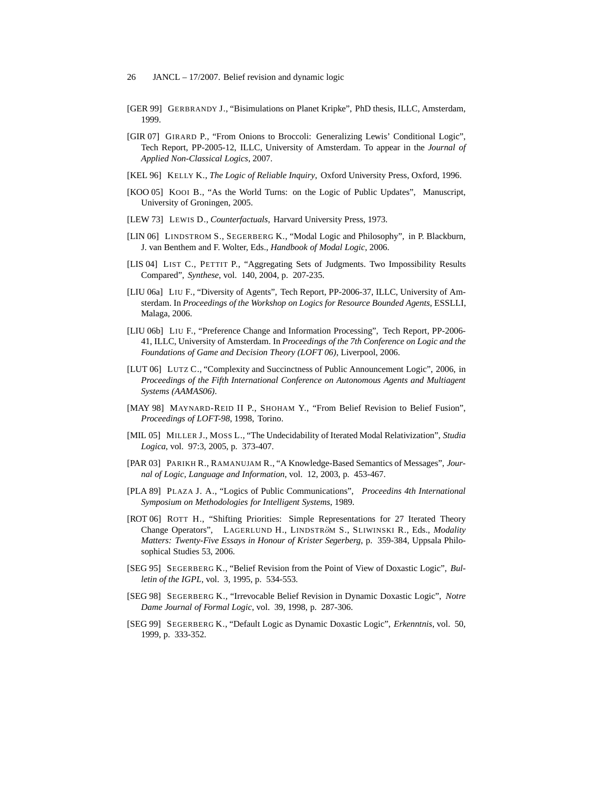- 26 JANCL 17/2007. Belief revision and dynamic logic
- [GER 99] GERBRANDY J., "Bisimulations on Planet Kripke", PhD thesis, ILLC, Amsterdam, 1999.
- [GIR 07] GIRARD P., "From Onions to Broccoli: Generalizing Lewis' Conditional Logic", Tech Report, PP-2005-12, ILLC, University of Amsterdam. To appear in the *Journal of Applied Non-Classical Logics*, 2007.
- [KEL 96] KELLY K., *The Logic of Reliable Inquiry*, Oxford University Press, Oxford, 1996.
- [KOO 05] KOOI B., "As the World Turns: on the Logic of Public Updates", Manuscript, University of Groningen, 2005.
- [LEW 73] LEWIS D., *Counterfactuals*, Harvard University Press, 1973.
- [LIN 06] LINDSTROM S., SEGERBERG K., "Modal Logic and Philosophy", in P. Blackburn, J. van Benthem and F. Wolter, Eds., *Handbook of Modal Logic*, 2006.
- [LIS 04] LIST C., PETTIT P., "Aggregating Sets of Judgments. Two Impossibility Results Compared", *Synthese*, vol. 140, 2004, p. 207-235.
- [LIU 06a] LIU F., "Diversity of Agents", Tech Report, PP-2006-37, ILLC, University of Amsterdam. In *Proceedings of the Workshop on Logics for Resource Bounded Agents*, ESSLLI, Malaga, 2006.
- [LIU 06b] LIU F., "Preference Change and Information Processing", Tech Report, PP-2006- 41, ILLC, University of Amsterdam. In *Proceedings of the 7th Conference on Logic and the Foundations of Game and Decision Theory (LOFT 06)*, Liverpool, 2006.
- [LUT 06] LUTZ C., "Complexity and Succinctness of Public Announcement Logic", 2006, in *Proceedings of the Fifth International Conference on Autonomous Agents and Multiagent Systems (AAMAS06)*.
- [MAY 98] MAYNARD-REID II P., SHOHAM Y., "From Belief Revision to Belief Fusion", *Proceedings of LOFT-98*, 1998, Torino.
- [MIL 05] MILLER J., MOSS L., "The Undecidability of Iterated Modal Relativization", *Studia Logica*, vol. 97:3, 2005, p. 373-407.
- [PAR 03] PARIKH R., RAMANUJAM R., "A Knowledge-Based Semantics of Messages", *Journal of Logic, Language and Information*, vol. 12, 2003, p. 453-467.
- [PLA 89] PLAZA J. A., "Logics of Public Communications", *Proceedins 4th International Symposium on Methodologies for Intelligent Systems*, 1989.
- [ROT 06] ROTT H., "Shifting Priorities: Simple Representations for 27 Iterated Theory Change Operators", LAGERLUND H., LINDSTRÖM S., SLIWINSKI R., Eds., *Modality Matters: Twenty-Five Essays in Honour of Krister Segerberg*, p. 359-384, Uppsala Philosophical Studies 53, 2006.
- [SEG 95] SEGERBERG K., "Belief Revision from the Point of View of Doxastic Logic", *Bulletin of the IGPL*, vol. 3, 1995, p. 534-553.
- [SEG 98] SEGERBERG K., "Irrevocable Belief Revision in Dynamic Doxastic Logic", *Notre Dame Journal of Formal Logic*, vol. 39, 1998, p. 287-306.
- [SEG 99] SEGERBERG K., "Default Logic as Dynamic Doxastic Logic", *Erkenntnis*, vol. 50, 1999, p. 333-352.